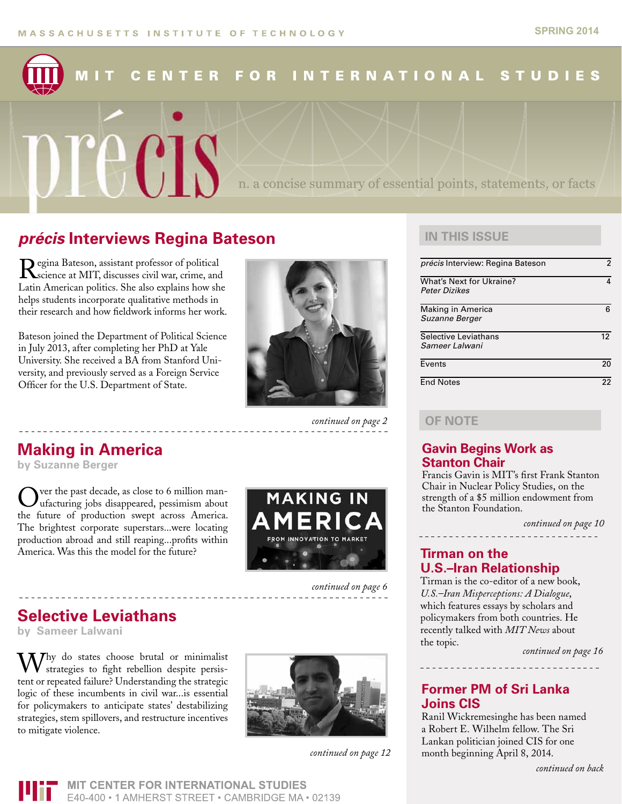### **FOR** MIT **CENTER INTERNATIONAL STUDIES**

### *précis* **Interviews Regina Bateson**

Regina Bateson, assistant professor of political<br>science at MIT, discusses civil war, crime, and Latin American politics. She also explains how she helps students incorporate qualitative methods in their research and how fieldwork informs her work.

precis

Bateson joined the Department of Political Science in July 2013, after completing her PhD at Yale University. She received a BA from Stanford University, and previously served as a Foreign Service Officer for the U.S. Department of State.



*continued on page 2*

## **Making in America**

**by Suzanne Berger**

ver the past decade, as close to 6 million man-Iufacturing jobs disappeared, pessimism about the future of production swept across America. The brightest corporate superstars...were locating production abroad and still reaping...profits within America. Was this the model for the future?



*continued on page 6*

## **Selective Leviathans**

**by Sameer Lalwani**

 $W_{\text{stochastic}}$  do states choose brutal or minimalist strategies to fight rebellion despite persistent or repeated failure? Understanding the strategic logic of these incumbents in civil war...is essential for policymakers to anticipate states' destabilizing strategies, stem spillovers, and restructure incentives to mitigate violence.



*continued on page 12*

### **IN THIS ISSUE**

n. a concise summary of essential points, statements, or facts

| précis Interview: Regina Bateson                 | 2  |
|--------------------------------------------------|----|
| <b>What's Next for Ukraine?</b><br>Peter Dizikes | 4  |
| Making in America<br>Suzanne Berger              | ิค |
| Selective Leviathans<br>Sameer Lalwani           | 12 |
| Events                                           | 20 |
| <b>End Notes</b>                                 | 22 |

### **OF NOTE**

### **Gavin Begins Work as Stanton Chair**

Francis Gavin is MIT's first Frank Stanton Chair in Nuclear Policy Studies, on the strength of a \$5 million endowment from the Stanton Foundation.

*continued on page 10*

### **Tirman on the U.S.–Iran Relationship**

Tirman is the co-editor of a new book, *U.S.–Iran Misperceptions: A Dialogue*, which features essays by scholars and policymakers from both countries. He recently talked with *MIT News* about the topic.

*continued on page 16*

### **Former PM of Sri Lanka Joins CIS**

Ranil Wickremesinghe has been named a Robert E. Wilhelm fellow. The Sri Lankan politician joined CIS for one month beginning April 8, 2014.

**MIT CENTER FOR INTERNATIONAL STUDIES** E40-400 • 1 AMHERST STREET • CAMBRIDGE MA • 02139

\_\_\_\_\_\_\_\_\_\_\_\_\_\_\_\_\_\_\_\_\_\_\_\_\_\_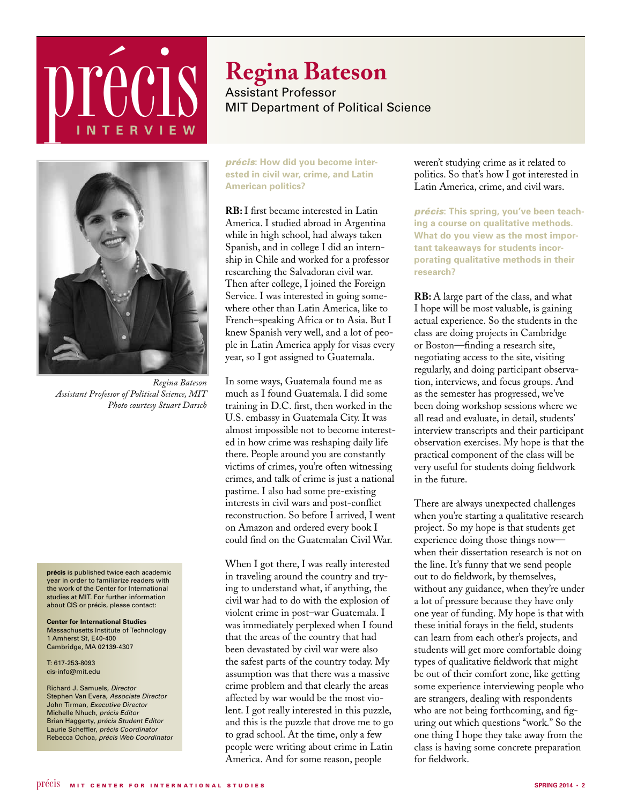## **précis INTER V IEW**



Assistant Professor MIT Department of Political Science



*Regina Bateson Assistant Professor of Political Science, MIT Photo courtesy Stuart Darsch*

**précis** is published twice each academic year in order to familiarize readers with the work of the Center for International studies at MIT. For further information about CIS or précis, please contact:

**Center for International Studies** Massachusetts Institute of Technology 1 Amherst St, E40-400 Cambridge, MA 02139-4307

T: 617-253-8093 cis-info@mit.edu

Richard J. Samuels, *Director* Stephen Van Evera, *Associate Director* John Tirman, *Executive Director* Michelle Nhuch, *précis Editor* Brian Haggerty, *précis Student Editor* Laurie Scheffler, *précis Coordinator* Rebecca Ochoa, *précis Web Coordinator*  *précis***: How did you become interested in civil war, crime, and Latin American politics?**

**RB:** I first became interested in Latin America. I studied abroad in Argentina while in high school, had always taken Spanish, and in college I did an internship in Chile and worked for a professor researching the Salvadoran civil war. Then after college, I joined the Foreign Service. I was interested in going somewhere other than Latin America, like to French–speaking Africa or to Asia. But I knew Spanish very well, and a lot of people in Latin America apply for visas every year, so I got assigned to Guatemala.

In some ways, Guatemala found me as much as I found Guatemala. I did some training in D.C. first, then worked in the U.S. embassy in Guatemala City. It was almost impossible not to become interested in how crime was reshaping daily life there. People around you are constantly victims of crimes, you're often witnessing crimes, and talk of crime is just a national pastime. I also had some pre-existing interests in civil wars and post-conflict reconstruction. So before I arrived, I went on Amazon and ordered every book I could find on the Guatemalan Civil War.

When I got there, I was really interested in traveling around the country and trying to understand what, if anything, the civil war had to do with the explosion of violent crime in post–war Guatemala. I was immediately perplexed when I found that the areas of the country that had been devastated by civil war were also the safest parts of the country today. My assumption was that there was a massive crime problem and that clearly the areas affected by war would be the most violent. I got really interested in this puzzle, and this is the puzzle that drove me to go to grad school. At the time, only a few people were writing about crime in Latin America. And for some reason, people

weren't studying crime as it related to politics. So that's how I got interested in Latin America, crime, and civil wars.

*précis***: This spring, you've been teaching a course on qualitative methods. What do you view as the most important takeaways for students incorporating qualitative methods in their research?**

**RB:** A large part of the class, and what I hope will be most valuable, is gaining actual experience. So the students in the class are doing projects in Cambridge or Boston—finding a research site, negotiating access to the site, visiting regularly, and doing participant observation, interviews, and focus groups. And as the semester has progressed, we've been doing workshop sessions where we all read and evaluate, in detail, students' interview transcripts and their participant observation exercises. My hope is that the practical component of the class will be very useful for students doing fieldwork in the future.

There are always unexpected challenges when you're starting a qualitative research project. So my hope is that students get experience doing those things now when their dissertation research is not on the line. It's funny that we send people out to do fieldwork, by themselves, without any guidance, when they're under a lot of pressure because they have only one year of funding. My hope is that with these initial forays in the field, students can learn from each other's projects, and students will get more comfortable doing types of qualitative fieldwork that might be out of their comfort zone, like getting some experience interviewing people who are strangers, dealing with respondents who are not being forthcoming, and figuring out which questions "work." So the one thing I hope they take away from the class is having some concrete preparation for fieldwork.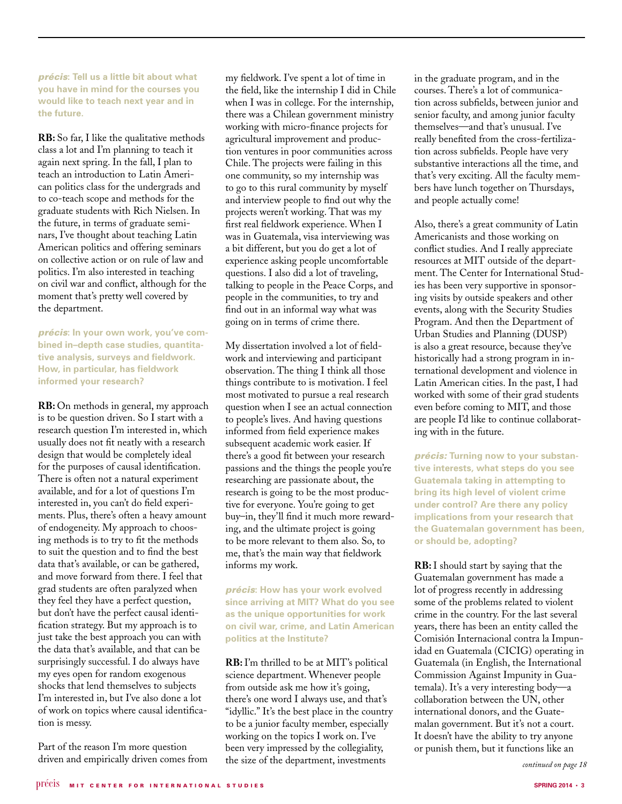*précis***: Tell us a little bit about what you have in mind for the courses you would like to teach next year and in the future.**

**RB:** So far, I like the qualitative methods class a lot and I'm planning to teach it again next spring. In the fall, I plan to teach an introduction to Latin American politics class for the undergrads and to co-teach scope and methods for the graduate students with Rich Nielsen. In the future, in terms of graduate seminars, I've thought about teaching Latin American politics and offering seminars on collective action or on rule of law and politics. I'm also interested in teaching on civil war and conflict, although for the moment that's pretty well covered by the department.

*précis***: In your own work, you've combined in–depth case studies, quantitative analysis, surveys and fieldwork. How, in particular, has fieldwork informed your research?**

**RB:** On methods in general, my approach is to be question driven. So I start with a research question I'm interested in, which usually does not fit neatly with a research design that would be completely ideal for the purposes of causal identification. There is often not a natural experiment available, and for a lot of questions I'm interested in, you can't do field experiments. Plus, there's often a heavy amount of endogeneity. My approach to choosing methods is to try to fit the methods to suit the question and to find the best data that's available, or can be gathered, and move forward from there. I feel that grad students are often paralyzed when they feel they have a perfect question, but don't have the perfect causal identification strategy. But my approach is to just take the best approach you can with the data that's available, and that can be surprisingly successful. I do always have my eyes open for random exogenous shocks that lend themselves to subjects I'm interested in, but I've also done a lot of work on topics where causal identification is messy.

Part of the reason I'm more question driven and empirically driven comes from my fieldwork. I've spent a lot of time in the field, like the internship I did in Chile when I was in college. For the internship, there was a Chilean government ministry working with micro-finance projects for agricultural improvement and production ventures in poor communities across Chile. The projects were failing in this one community, so my internship was to go to this rural community by myself and interview people to find out why the projects weren't working. That was my first real fieldwork experience. When I was in Guatemala, visa interviewing was a bit different, but you do get a lot of experience asking people uncomfortable questions. I also did a lot of traveling, talking to people in the Peace Corps, and people in the communities, to try and find out in an informal way what was going on in terms of crime there.

My dissertation involved a lot of fieldwork and interviewing and participant observation. The thing I think all those things contribute to is motivation. I feel most motivated to pursue a real research question when I see an actual connection to people's lives. And having questions informed from field experience makes subsequent academic work easier. If there's a good fit between your research passions and the things the people you're researching are passionate about, the research is going to be the most productive for everyone. You're going to get buy–in, they'll find it much more rewarding, and the ultimate project is going to be more relevant to them also. So, to me, that's the main way that fieldwork informs my work.

*précis***: How has your work evolved since arriving at MIT? What do you see as the unique opportunities for work on civil war, crime, and Latin American politics at the Institute?**

**RB:** I'm thrilled to be at MIT's political science department. Whenever people from outside ask me how it's going, there's one word I always use, and that's "idyllic." It's the best place in the country to be a junior faculty member, especially working on the topics I work on. I've been very impressed by the collegiality, the size of the department, investments

in the graduate program, and in the courses. There's a lot of communication across subfields, between junior and senior faculty, and among junior faculty themselves—and that's unusual. I've really benefited from the cross-fertilization across subfields. People have very substantive interactions all the time, and that's very exciting. All the faculty members have lunch together on Thursdays, and people actually come!

Also, there's a great community of Latin Americanists and those working on conflict studies. And I really appreciate resources at MIT outside of the department. The Center for International Studies has been very supportive in sponsoring visits by outside speakers and other events, along with the Security Studies Program. And then the Department of Urban Studies and Planning (DUSP) is also a great resource, because they've historically had a strong program in international development and violence in Latin American cities. In the past, I had worked with some of their grad students even before coming to MIT, and those are people I'd like to continue collaborating with in the future.

*précis:* **Turning now to your substantive interests, what steps do you see Guatemala taking in attempting to bring its high level of violent crime under control? Are there any policy implications from your research that the Guatemalan government has been, or should be, adopting?**

**RB:** I should start by saying that the Guatemalan government has made a lot of progress recently in addressing some of the problems related to violent crime in the country. For the last several years, there has been an entity called the Comisión Internacional contra la Impunidad en Guatemala (CICIG) operating in Guatemala (in English, the International Commission Against Impunity in Guatemala). It's a very interesting body—a collaboration between the UN, other international donors, and the Guatemalan government. But it's not a court. It doesn't have the ability to try anyone or punish them, but it functions like an

*continued on page 18*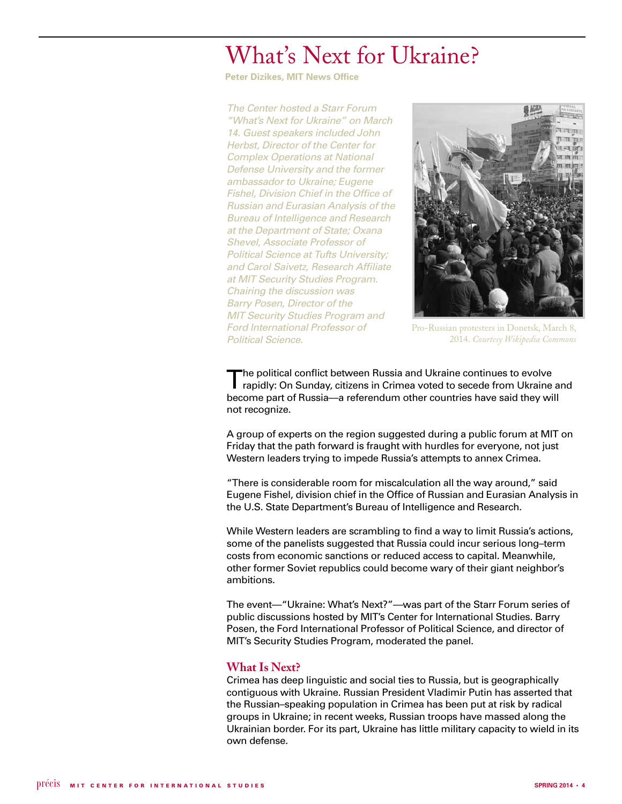## What's Next for Ukraine?

**Peter Dizikes, MIT News Office**

*The Center hosted a Starr Forum "What's Next for Ukraine" on March 14. Guest speakers included John Herbst, Director of the Center for Complex Operations at National Defense University and the former ambassador to Ukraine; Eugene Fishel, Division Chief in the Office of Russian and Eurasian Analysis of the Bureau of Intelligence and Research at the Department of State; Oxana Shevel, Associate Professor of Political Science at Tufts University; and Carol Saivetz, Research Affiliate at MIT Security Studies Program. Chairing the discussion was Barry Posen, Director of the MIT Security Studies Program and Ford International Professor of Political Science.* 



Pro-Russian protesters in Donetsk, March 8, 2014. *Courtesy Wikipedia Commons*

The political conflict between Russia and Ukraine continues to evolve rapidly: On Sunday, citizens in Crimea voted to secede from Ukraine and become part of Russia—a referendum other countries have said they will not recognize.

A group of experts on the region suggested during a public forum at MIT on Friday that the path forward is fraught with hurdles for everyone, not just Western leaders trying to impede Russia's attempts to annex Crimea.

"There is considerable room for miscalculation all the way around," said Eugene Fishel, division chief in the Office of Russian and Eurasian Analysis in the U.S. State Department's Bureau of Intelligence and Research.

While Western leaders are scrambling to find a way to limit Russia's actions, some of the panelists suggested that Russia could incur serious long–term costs from economic sanctions or reduced access to capital. Meanwhile, other former Soviet republics could become wary of their giant neighbor's ambitions.

The event—"Ukraine: What's Next?"—was part of the Starr Forum series of public discussions hosted by MIT's Center for International Studies. Barry Posen, the Ford International Professor of Political Science, and director of MIT's Security Studies Program, moderated the panel.

### **What Is Next?**

Crimea has deep linguistic and social ties to Russia, but is geographically contiguous with Ukraine. Russian President Vladimir Putin has asserted that the Russian–speaking population in Crimea has been put at risk by radical groups in Ukraine; in recent weeks, Russian troops have massed along the Ukrainian border. For its part, Ukraine has little military capacity to wield in its own defense.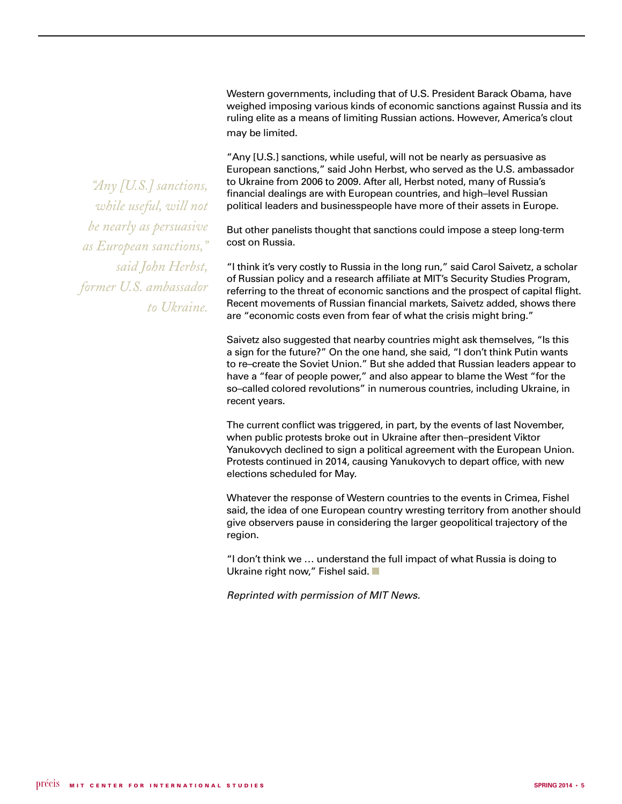Western governments, including that of U.S. President Barack Obama, have weighed imposing various kinds of economic sanctions against Russia and its ruling elite as a means of limiting Russian actions. However, America's clout may be limited.

"Any [U.S.] sanctions, while useful, will not be nearly as persuasive as European sanctions," said John Herbst, who served as the U.S. ambassador to Ukraine from 2006 to 2009. After all, Herbst noted, many of Russia's financial dealings are with European countries, and high–level Russian political leaders and businesspeople have more of their assets in Europe.

But other panelists thought that sanctions could impose a steep long-term cost on Russia.

"I think it's very costly to Russia in the long run," said Carol Saivetz, a scholar of Russian policy and a research affiliate at MIT's Security Studies Program, referring to the threat of economic sanctions and the prospect of capital flight. Recent movements of Russian financial markets, Saivetz added, shows there are "economic costs even from fear of what the crisis might bring."

Saivetz also suggested that nearby countries might ask themselves, "Is this a sign for the future?" On the one hand, she said, "I don't think Putin wants to re–create the Soviet Union." But she added that Russian leaders appear to have a "fear of people power," and also appear to blame the West "for the so–called colored revolutions" in numerous countries, including Ukraine, in recent years.

The current conflict was triggered, in part, by the events of last November, when public protests broke out in Ukraine after then–president Viktor Yanukovych declined to sign a political agreement with the European Union. Protests continued in 2014, causing Yanukovych to depart office, with new elections scheduled for May.

Whatever the response of Western countries to the events in Crimea, Fishel said, the idea of one European country wresting territory from another should give observers pause in considering the larger geopolitical trajectory of the region.

"I don't think we … understand the full impact of what Russia is doing to Ukraine right now," Fishel said.  $\blacksquare$ 

*Reprinted with permission of MIT News.*

*"Any [U.S.] sanctions, while useful, will not be nearly as persuasive as European sanctions," said John Herbst, former U.S. ambassador to Ukraine.*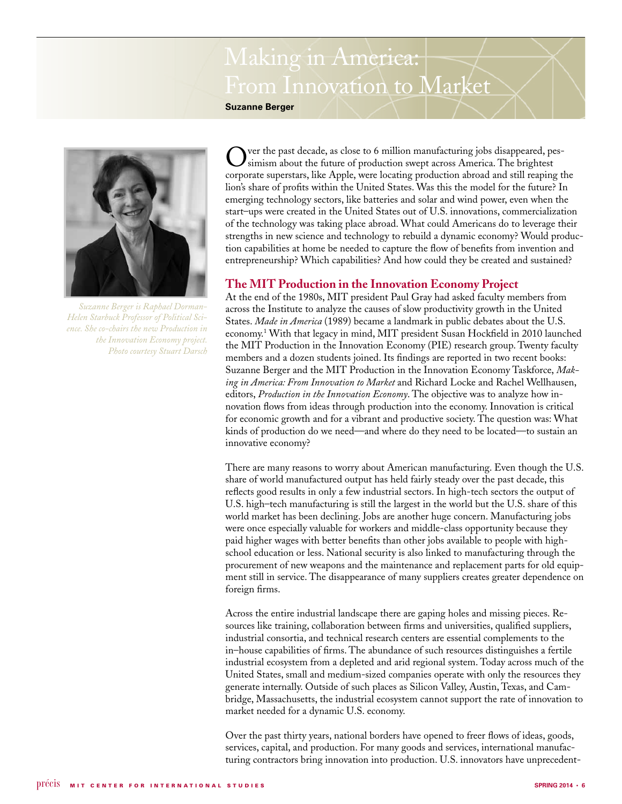## Making in America: From Innovation to Market

**Suzanne Berger**



*Suzanne Berger is Raphael Dorman-Helen Starbuck Professor of Political Science. She co-chairs the new Production in the Innovation Economy project. Photo courtesy Stuart Darsch*

ver the past decade, as close to 6 million manufacturing jobs disappeared, pessimism about the future of production swept across America. The brightest corporate superstars, like Apple, were locating production abroad and still reaping the lion's share of profits within the United States. Was this the model for the future? In emerging technology sectors, like batteries and solar and wind power, even when the start–ups were created in the United States out of U.S. innovations, commercialization of the technology was taking place abroad. What could Americans do to leverage their strengths in new science and technology to rebuild a dynamic economy? Would production capabilities at home be needed to capture the flow of benefits from invention and entrepreneurship? Which capabilities? And how could they be created and sustained?

### **The MIT Production in the Innovation Economy Project**

At the end of the 1980s, MIT president Paul Gray had asked faculty members from across the Institute to analyze the causes of slow productivity growth in the United States. *Made in America* (1989) became a landmark in public debates about the U.S. economy.1 With that legacy in mind, MIT president Susan Hockfield in 2010 launched the MIT Production in the Innovation Economy (PIE) research group. Twenty faculty members and a dozen students joined. Its findings are reported in two recent books: Suzanne Berger and the MIT Production in the Innovation Economy Taskforce, *Making in America: From Innovation to Market* and Richard Locke and Rachel Wellhausen, editors, *Production in the Innovation Economy*. The objective was to analyze how innovation flows from ideas through production into the economy. Innovation is critical for economic growth and for a vibrant and productive society. The question was: What kinds of production do we need—and where do they need to be located—to sustain an innovative economy?

There are many reasons to worry about American manufacturing. Even though the U.S. share of world manufactured output has held fairly steady over the past decade, this reflects good results in only a few industrial sectors. In high-tech sectors the output of U.S. high–tech manufacturing is still the largest in the world but the U.S. share of this world market has been declining. Jobs are another huge concern. Manufacturing jobs were once especially valuable for workers and middle-class opportunity because they paid higher wages with better benefits than other jobs available to people with highschool education or less. National security is also linked to manufacturing through the procurement of new weapons and the maintenance and replacement parts for old equipment still in service. The disappearance of many suppliers creates greater dependence on foreign firms.

Across the entire industrial landscape there are gaping holes and missing pieces. Resources like training, collaboration between firms and universities, qualified suppliers, industrial consortia, and technical research centers are essential complements to the in–house capabilities of firms. The abundance of such resources distinguishes a fertile industrial ecosystem from a depleted and arid regional system. Today across much of the United States, small and medium-sized companies operate with only the resources they generate internally. Outside of such places as Silicon Valley, Austin, Texas, and Cambridge, Massachusetts, the industrial ecosystem cannot support the rate of innovation to market needed for a dynamic U.S. economy.

Over the past thirty years, national borders have opened to freer flows of ideas, goods, services, capital, and production. For many goods and services, international manufacturing contractors bring innovation into production. U.S. innovators have unprecedent-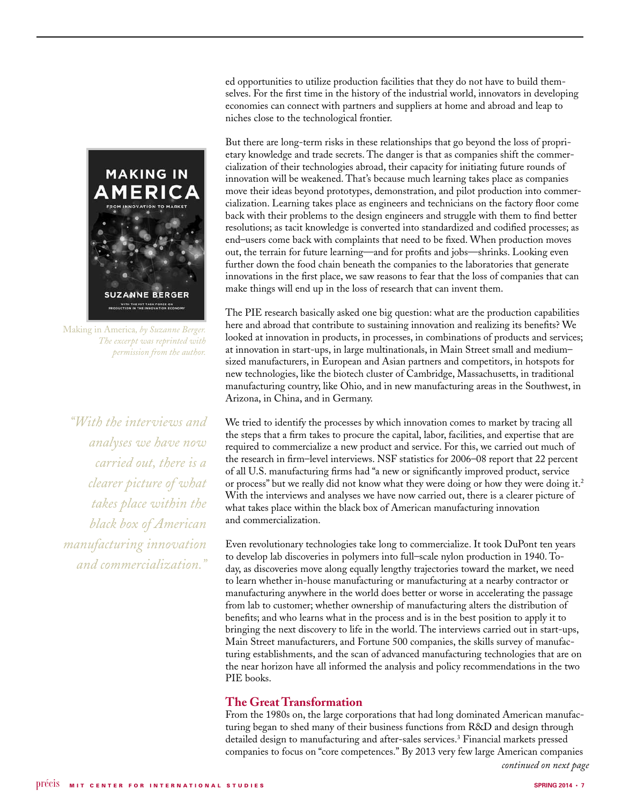

Making in America*, by Suzanne Berger. The excerpt was reprinted with permission from the author.*

*"With the interviews and analyses we have now carried out, there is a clearer picture of what takes place within the black box of American manufacturing innovation and commercialization."*

ed opportunities to utilize production facilities that they do not have to build themselves. For the first time in the history of the industrial world, innovators in developing economies can connect with partners and suppliers at home and abroad and leap to niches close to the technological frontier.

But there are long-term risks in these relationships that go beyond the loss of proprietary knowledge and trade secrets. The danger is that as companies shift the commercialization of their technologies abroad, their capacity for initiating future rounds of innovation will be weakened. That's because much learning takes place as companies move their ideas beyond prototypes, demonstration, and pilot production into commercialization. Learning takes place as engineers and technicians on the factory floor come back with their problems to the design engineers and struggle with them to find better resolutions; as tacit knowledge is converted into standardized and codified processes; as end–users come back with complaints that need to be fixed. When production moves out, the terrain for future learning—and for profits and jobs—shrinks. Looking even further down the food chain beneath the companies to the laboratories that generate innovations in the first place, we saw reasons to fear that the loss of companies that can make things will end up in the loss of research that can invent them.

The PIE research basically asked one big question: what are the production capabilities here and abroad that contribute to sustaining innovation and realizing its benefits? We looked at innovation in products, in processes, in combinations of products and services; at innovation in start-ups, in large multinationals, in Main Street small and medium– sized manufacturers, in European and Asian partners and competitors, in hotspots for new technologies, like the biotech cluster of Cambridge, Massachusetts, in traditional manufacturing country, like Ohio, and in new manufacturing areas in the Southwest, in Arizona, in China, and in Germany.

We tried to identify the processes by which innovation comes to market by tracing all the steps that a firm takes to procure the capital, labor, facilities, and expertise that are required to commercialize a new product and service. For this, we carried out much of the research in firm–level interviews. NSF statistics for 2006–08 report that 22 percent of all U.S. manufacturing firms had "a new or significantly improved product, service or process" but we really did not know what they were doing or how they were doing it. $2$ With the interviews and analyses we have now carried out, there is a clearer picture of what takes place within the black box of American manufacturing innovation and commercialization.

Even revolutionary technologies take long to commercialize. It took DuPont ten years to develop lab discoveries in polymers into full–scale nylon production in 1940. Today, as discoveries move along equally lengthy trajectories toward the market, we need to learn whether in-house manufacturing or manufacturing at a nearby contractor or manufacturing anywhere in the world does better or worse in accelerating the passage from lab to customer; whether ownership of manufacturing alters the distribution of benefits; and who learns what in the process and is in the best position to apply it to bringing the next discovery to life in the world. The interviews carried out in start-ups, Main Street manufacturers, and Fortune 500 companies, the skills survey of manufacturing establishments, and the scan of advanced manufacturing technologies that are on the near horizon have all informed the analysis and policy recommendations in the two PIE books.

### **The Great Transformation**

From the 1980s on, the large corporations that had long dominated American manufacturing began to shed many of their business functions from R&D and design through detailed design to manufacturing and after-sales services.3 Financial markets pressed companies to focus on "core competences." By 2013 very few large American companies *continued on next page*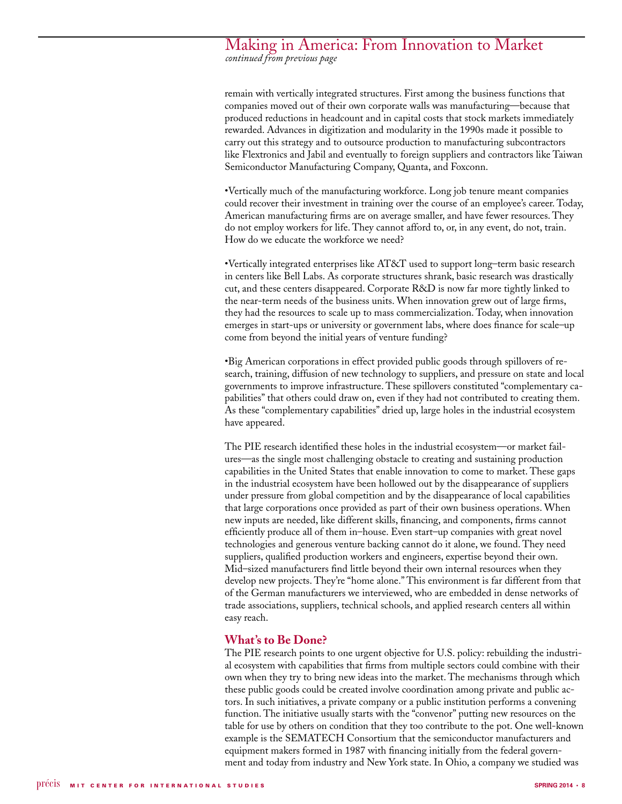### Making in America: From Innovation to Market *continued from previous page*

remain with vertically integrated structures. First among the business functions that companies moved out of their own corporate walls was manufacturing—because that produced reductions in headcount and in capital costs that stock markets immediately rewarded. Advances in digitization and modularity in the 1990s made it possible to carry out this strategy and to outsource production to manufacturing subcontractors like Flextronics and Jabil and eventually to foreign suppliers and contractors like Taiwan Semiconductor Manufacturing Company, Quanta, and Foxconn.

•Vertically much of the manufacturing workforce. Long job tenure meant companies could recover their investment in training over the course of an employee's career. Today, American manufacturing firms are on average smaller, and have fewer resources. They do not employ workers for life. They cannot afford to, or, in any event, do not, train. How do we educate the workforce we need?

•Vertically integrated enterprises like AT&T used to support long–term basic research in centers like Bell Labs. As corporate structures shrank, basic research was drastically cut, and these centers disappeared. Corporate R&D is now far more tightly linked to the near-term needs of the business units. When innovation grew out of large firms, they had the resources to scale up to mass commercialization. Today, when innovation emerges in start-ups or university or government labs, where does finance for scale–up come from beyond the initial years of venture funding?

•Big American corporations in effect provided public goods through spillovers of research, training, diffusion of new technology to suppliers, and pressure on state and local governments to improve infrastructure. These spillovers constituted "complementary capabilities" that others could draw on, even if they had not contributed to creating them. As these "complementary capabilities" dried up, large holes in the industrial ecosystem have appeared.

The PIE research identified these holes in the industrial ecosystem—or market failures—as the single most challenging obstacle to creating and sustaining production capabilities in the United States that enable innovation to come to market. These gaps in the industrial ecosystem have been hollowed out by the disappearance of suppliers under pressure from global competition and by the disappearance of local capabilities that large corporations once provided as part of their own business operations. When new inputs are needed, like different skills, financing, and components, firms cannot efficiently produce all of them in–house. Even start–up companies with great novel technologies and generous venture backing cannot do it alone, we found. They need suppliers, qualified production workers and engineers, expertise beyond their own. Mid–sized manufacturers find little beyond their own internal resources when they develop new projects. They're "home alone." This environment is far different from that of the German manufacturers we interviewed, who are embedded in dense networks of trade associations, suppliers, technical schools, and applied research centers all within easy reach.

### **What's to Be Done?**

The PIE research points to one urgent objective for U.S. policy: rebuilding the industrial ecosystem with capabilities that firms from multiple sectors could combine with their own when they try to bring new ideas into the market. The mechanisms through which these public goods could be created involve coordination among private and public actors. In such initiatives, a private company or a public institution performs a convening function. The initiative usually starts with the "convenor" putting new resources on the table for use by others on condition that they too contribute to the pot. One well-known example is the SEMATECH Consortium that the semiconductor manufacturers and equipment makers formed in 1987 with financing initially from the federal government and today from industry and New York state. In Ohio, a company we studied was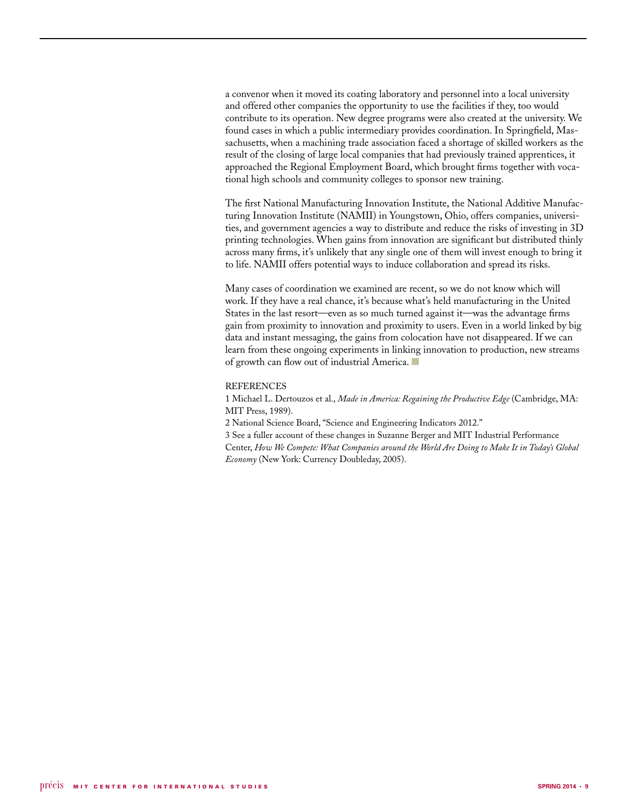a convenor when it moved its coating laboratory and personnel into a local university and offered other companies the opportunity to use the facilities if they, too would contribute to its operation. New degree programs were also created at the university. We found cases in which a public intermediary provides coordination. In Springfield, Massachusetts, when a machining trade association faced a shortage of skilled workers as the result of the closing of large local companies that had previously trained apprentices, it approached the Regional Employment Board, which brought firms together with vocational high schools and community colleges to sponsor new training.

The first National Manufacturing Innovation Institute, the National Additive Manufacturing Innovation Institute (NAMII) in Youngstown, Ohio, offers companies, universities, and government agencies a way to distribute and reduce the risks of investing in 3D printing technologies. When gains from innovation are significant but distributed thinly across many firms, it's unlikely that any single one of them will invest enough to bring it to life. NAMII offers potential ways to induce collaboration and spread its risks.

Many cases of coordination we examined are recent, so we do not know which will work. If they have a real chance, it's because what's held manufacturing in the United States in the last resort—even as so much turned against it—was the advantage firms gain from proximity to innovation and proximity to users. Even in a world linked by big data and instant messaging, the gains from colocation have not disappeared. If we can learn from these ongoing experiments in linking innovation to production, new streams of growth can flow out of industrial America.

### REFERENCES

1 Michael L. Dertouzos et al., *Made in America: Regaining the Productive Edge* (Cambridge, MA: MIT Press, 1989).

2 National Science Board, "Science and Engineering Indicators 2012."

3 See a fuller account of these changes in Suzanne Berger and MIT Industrial Performance Center, *How We Compete: What Companies around the World Are Doing to Make It in Today's Global Economy* (New York: Currency Doubleday, 2005).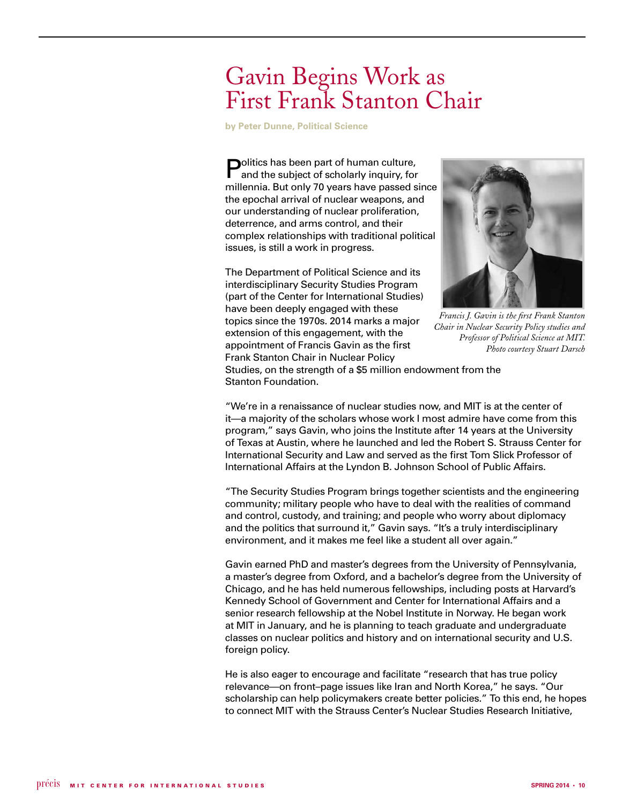## Gavin Begins Work as First Frank Stanton Chair

**by Peter Dunne, Political Science** 

**Politics has been part of human culture,** and the subject of scholarly inquiry, for millennia. But only 70 years have passed since the epochal arrival of nuclear weapons, and our understanding of nuclear proliferation, deterrence, and arms control, and their complex relationships with traditional political issues, is still a work in progress.

The Department of Political Science and its interdisciplinary Security Studies Program (part of the Center for International Studies) have been deeply engaged with these topics since the 1970s. 2014 marks a major extension of this engagement, with the appointment of Francis Gavin as the first Frank Stanton Chair in Nuclear Policy



*Francis J. Gavin is the first Frank Stanton Chair in Nuclear Security Policy studies and Professor of Political Science at MIT. Photo courtesy Stuart Darsch*

Studies, on the strength of a \$5 million endowment from the Stanton Foundation.

"We're in a renaissance of nuclear studies now, and MIT is at the center of it—a majority of the scholars whose work I most admire have come from this program," says Gavin, who joins the Institute after 14 years at the University of Texas at Austin, where he launched and led the Robert S. Strauss Center for International Security and Law and served as the first Tom Slick Professor of International Affairs at the Lyndon B. Johnson School of Public Affairs.

"The Security Studies Program brings together scientists and the engineering community; military people who have to deal with the realities of command and control, custody, and training; and people who worry about diplomacy and the politics that surround it," Gavin says. "It's a truly interdisciplinary environment, and it makes me feel like a student all over again."

Gavin earned PhD and master's degrees from the University of Pennsylvania, a master's degree from Oxford, and a bachelor's degree from the University of Chicago, and he has held numerous fellowships, including posts at Harvard's Kennedy School of Government and Center for International Affairs and a senior research fellowship at the Nobel Institute in Norway. He began work at MIT in January, and he is planning to teach graduate and undergraduate classes on nuclear politics and history and on international security and U.S. foreign policy.

He is also eager to encourage and facilitate "research that has true policy relevance—on front–page issues like Iran and North Korea," he says. "Our scholarship can help policymakers create better policies." To this end, he hopes to connect MIT with the Strauss Center's Nuclear Studies Research Initiative,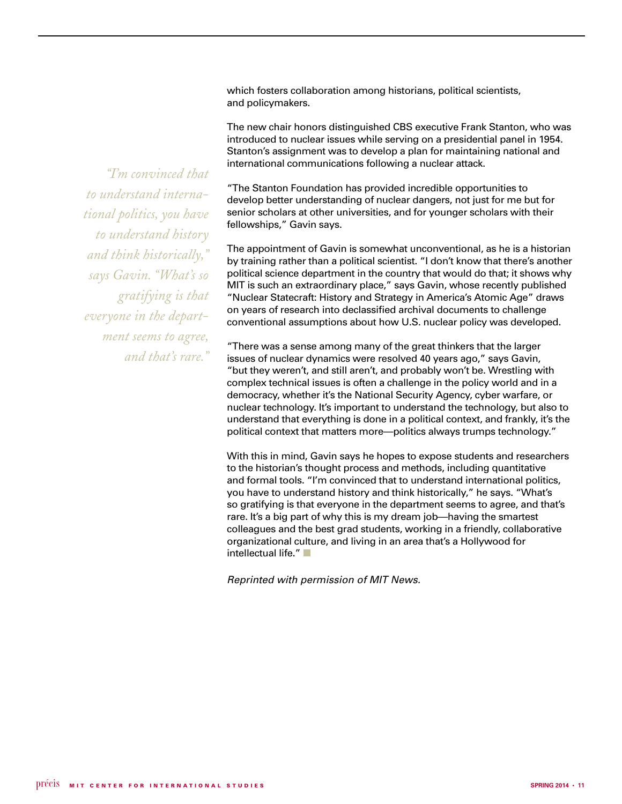which fosters collaboration among historians, political scientists, and policymakers.

The new chair honors distinguished CBS executive Frank Stanton, who was introduced to nuclear issues while serving on a presidential panel in 1954. Stanton's assignment was to develop a plan for maintaining national and international communications following a nuclear attack.

"The Stanton Foundation has provided incredible opportunities to develop better understanding of nuclear dangers, not just for me but for senior scholars at other universities, and for younger scholars with their fellowships," Gavin says.

The appointment of Gavin is somewhat unconventional, as he is a historian by training rather than a political scientist. "I don't know that there's another political science department in the country that would do that; it shows why MIT is such an extraordinary place," says Gavin, whose recently published "Nuclear Statecraft: History and Strategy in America's Atomic Age" draws on years of research into declassified archival documents to challenge conventional assumptions about how U.S. nuclear policy was developed.

"There was a sense among many of the great thinkers that the larger issues of nuclear dynamics were resolved 40 years ago," says Gavin, "but they weren't, and still aren't, and probably won't be. Wrestling with complex technical issues is often a challenge in the policy world and in a democracy, whether it's the National Security Agency, cyber warfare, or nuclear technology. It's important to understand the technology, but also to understand that everything is done in a political context, and frankly, it's the political context that matters more—politics always trumps technology."

With this in mind, Gavin says he hopes to expose students and researchers to the historian's thought process and methods, including quantitative and formal tools. "I'm convinced that to understand international politics, you have to understand history and think historically," he says. "What's so gratifying is that everyone in the department seems to agree, and that's rare. It's a big part of why this is my dream job—having the smartest colleagues and the best grad students, working in a friendly, collaborative organizational culture, and living in an area that's a Hollywood for  $intellectual life."$ 

*Reprinted with permission of MIT News.*

*"I'm convinced that to understand international politics, you have to understand history and think historically," says Gavin. "What's so gratifying is that everyone in the department seems to agree, and that's rare."*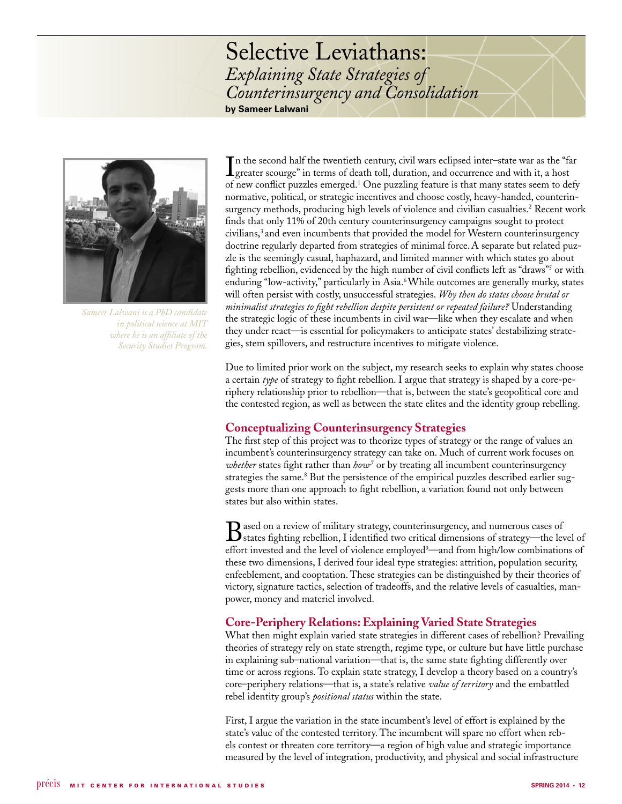## Selective Leviathans: *Explaining State Strategies of Counterinsurgency and Consolidation* **by Sameer Lalwani**



*Sameer Lalwani is a PhD candidate in political science at MIT where he is an affiliate of the Security Studies Program.* 

In the second half the twentieth century, civil wars eclipsed inter-state war as the "far greater scourge" in terms of death toll, duration, and occurrence and with it, a host greater scourge" in terms of death toll, duration, and occurrence and with it, a host of new conflict puzzles emerged.<sup>1</sup> One puzzling feature is that many states seem to defy normative, political, or strategic incentives and choose costly, heavy-handed, counterinsurgency methods, producing high levels of violence and civilian casualties.<sup>2</sup> Recent work finds that only 11% of 20th century counterinsurgency campaigns sought to protect civilians,<sup>3</sup> and even incumbents that provided the model for Western counterinsurgency doctrine regularly departed from strategies of minimal force.A separate but related puzzle is the seemingly casual, haphazard, and limited manner with which states go about fighting rebellion, evidenced by the high number of civil conflicts left as "draws"<sup>5</sup> or with enduring "low-activity," particularly in Asia.<sup>6</sup> While outcomes are generally murky, states will often persist with costly, unsuccessful strategies. *Why then do states choose brutal or minimalist strategies to fight rebellion despite persistent or repeated failure?* Understanding the strategic logic of these incumbents in civil war—like when they escalate and when they under react—is essential for policymakers to anticipate states' destabilizing strategies, stem spillovers, and restructure incentives to mitigate violence.

Due to limited prior work on the subject, my research seeks to explain why states choose a certain *type* of strategy to fight rebellion. I argue that strategy is shaped by a core-periphery relationship prior to rebellion—that is, between the state's geopolitical core and the contested region, as well as between the state elites and the identity group rebelling.

### **Conceptualizing Counterinsurgency Strategies**

The first step of this project was to theorize types of strategy or the range of values an incumbent's counterinsurgency strategy can take on. Much of current work focuses on *whether* states fight rather than *how*<sup>7</sup> or by treating all incumbent counterinsurgency strategies the same.<sup>8</sup> But the persistence of the empirical puzzles described earlier suggests more than one approach to fight rebellion, a variation found not only between states but also within states.

Based on a review of military strategy, counterinsurgency, and numerous cases of strategy—the level of strategy—the level of effort invested and the level of violence employed<sup>9</sup>—and from high/low combinations of these two dimensions, I derived four ideal type strategies: attrition, population security, enfeeblement, and cooptation. These strategies can be distinguished by their theories of victory, signature tactics, selection of tradeoffs, and the relative levels of casualties, manpower, money and materiel involved.

### **Core-Periphery Relations: Explaining Varied State Strategies**

What then might explain varied state strategies in different cases of rebellion? Prevailing theories of strategy rely on state strength, regime type, or culture but have little purchase in explaining sub–national variation—that is, the same state fighting differently over time or across regions. To explain state strategy, I develop a theory based on a country's core–periphery relations—that is, a state's relative *value of territory* and the embattled rebel identity group's *positional status* within the state.

First, I argue the variation in the state incumbent's level of effort is explained by the state's value of the contested territory. The incumbent will spare no effort when rebels contest or threaten core territory—a region of high value and strategic importance measured by the level of integration, productivity, and physical and social infrastructure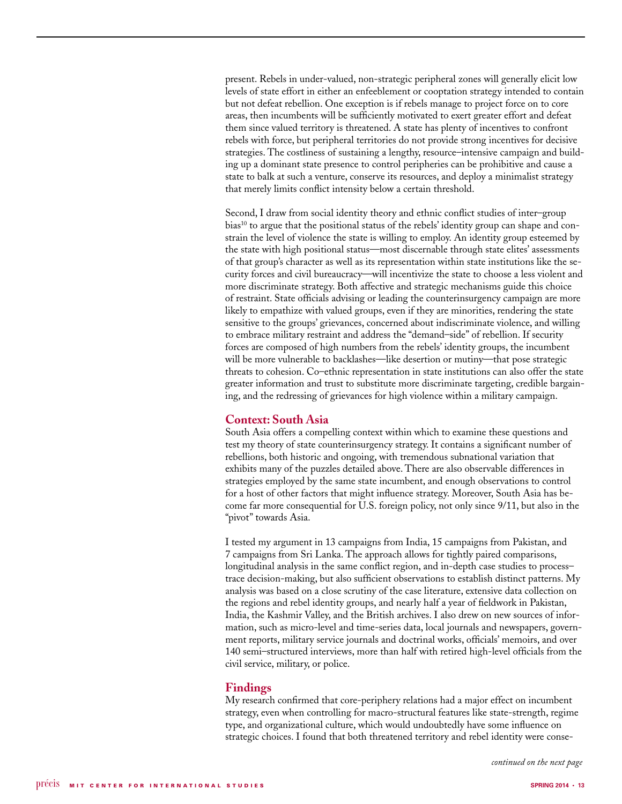present. Rebels in under-valued, non-strategic peripheral zones will generally elicit low levels of state effort in either an enfeeblement or cooptation strategy intended to contain but not defeat rebellion. One exception is if rebels manage to project force on to core areas, then incumbents will be sufficiently motivated to exert greater effort and defeat them since valued territory is threatened. A state has plenty of incentives to confront rebels with force, but peripheral territories do not provide strong incentives for decisive strategies. The costliness of sustaining a lengthy, resource–intensive campaign and building up a dominant state presence to control peripheries can be prohibitive and cause a state to balk at such a venture, conserve its resources, and deploy a minimalist strategy that merely limits conflict intensity below a certain threshold.

Second, I draw from social identity theory and ethnic conflict studies of inter–group bias<sup>10</sup> to argue that the positional status of the rebels' identity group can shape and constrain the level of violence the state is willing to employ. An identity group esteemed by the state with high positional status—most discernable through state elites' assessments of that group's character as well as its representation within state institutions like the security forces and civil bureaucracy—will incentivize the state to choose a less violent and more discriminate strategy. Both affective and strategic mechanisms guide this choice of restraint. State officials advising or leading the counterinsurgency campaign are more likely to empathize with valued groups, even if they are minorities, rendering the state sensitive to the groups' grievances, concerned about indiscriminate violence, and willing to embrace military restraint and address the "demand–side" of rebellion. If security forces are composed of high numbers from the rebels' identity groups, the incumbent will be more vulnerable to backlashes—like desertion or mutiny—that pose strategic threats to cohesion. Co–ethnic representation in state institutions can also offer the state greater information and trust to substitute more discriminate targeting, credible bargaining, and the redressing of grievances for high violence within a military campaign.

### **Context: South Asia**

South Asia offers a compelling context within which to examine these questions and test my theory of state counterinsurgency strategy. It contains a significant number of rebellions, both historic and ongoing, with tremendous subnational variation that exhibits many of the puzzles detailed above. There are also observable differences in strategies employed by the same state incumbent, and enough observations to control for a host of other factors that might influence strategy. Moreover, South Asia has become far more consequential for U.S. foreign policy, not only since 9/11, but also in the "pivot" towards Asia.

I tested my argument in 13 campaigns from India, 15 campaigns from Pakistan, and 7 campaigns from Sri Lanka. The approach allows for tightly paired comparisons, longitudinal analysis in the same conflict region, and in-depth case studies to process– trace decision-making, but also sufficient observations to establish distinct patterns. My analysis was based on a close scrutiny of the case literature, extensive data collection on the regions and rebel identity groups, and nearly half a year of fieldwork in Pakistan, India, the Kashmir Valley, and the British archives. I also drew on new sources of information, such as micro-level and time-series data, local journals and newspapers, government reports, military service journals and doctrinal works, officials' memoirs, and over 140 semi–structured interviews, more than half with retired high-level officials from the civil service, military, or police.

### **Findings**

My research confirmed that core-periphery relations had a major effect on incumbent strategy, even when controlling for macro-structural features like state-strength, regime type, and organizational culture, which would undoubtedly have some influence on strategic choices. I found that both threatened territory and rebel identity were conse-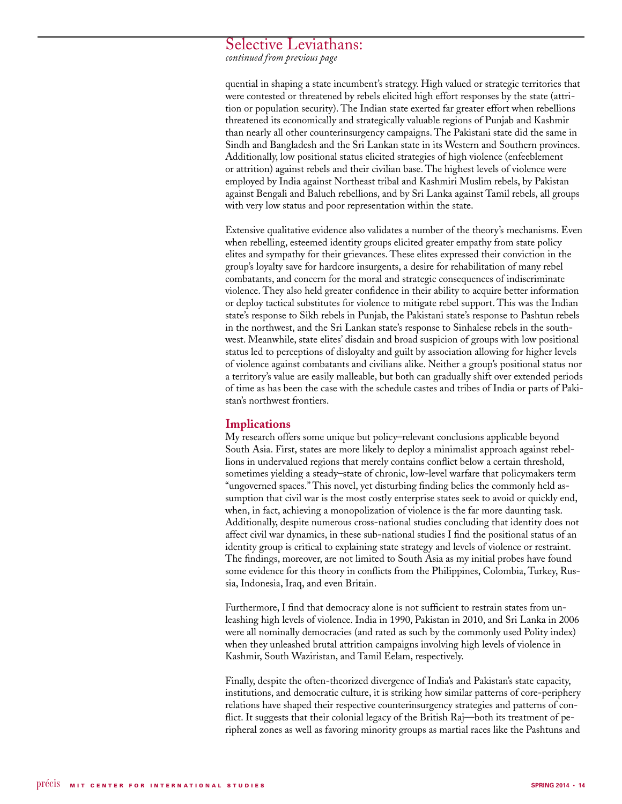### Selective Leviathans:

*continued from previous page*

quential in shaping a state incumbent's strategy. High valued or strategic territories that were contested or threatened by rebels elicited high effort responses by the state (attrition or population security). The Indian state exerted far greater effort when rebellions threatened its economically and strategically valuable regions of Punjab and Kashmir than nearly all other counterinsurgency campaigns. The Pakistani state did the same in Sindh and Bangladesh and the Sri Lankan state in its Western and Southern provinces. Additionally, low positional status elicited strategies of high violence (enfeeblement or attrition) against rebels and their civilian base. The highest levels of violence were employed by India against Northeast tribal and Kashmiri Muslim rebels, by Pakistan against Bengali and Baluch rebellions, and by Sri Lanka against Tamil rebels, all groups with very low status and poor representation within the state.

Extensive qualitative evidence also validates a number of the theory's mechanisms. Even when rebelling, esteemed identity groups elicited greater empathy from state policy elites and sympathy for their grievances. These elites expressed their conviction in the group's loyalty save for hardcore insurgents, a desire for rehabilitation of many rebel combatants, and concern for the moral and strategic consequences of indiscriminate violence. They also held greater confidence in their ability to acquire better information or deploy tactical substitutes for violence to mitigate rebel support. This was the Indian state's response to Sikh rebels in Punjab, the Pakistani state's response to Pashtun rebels in the northwest, and the Sri Lankan state's response to Sinhalese rebels in the southwest. Meanwhile, state elites' disdain and broad suspicion of groups with low positional status led to perceptions of disloyalty and guilt by association allowing for higher levels of violence against combatants and civilians alike. Neither a group's positional status nor a territory's value are easily malleable, but both can gradually shift over extended periods of time as has been the case with the schedule castes and tribes of India or parts of Pakistan's northwest frontiers.

### **Implications**

My research offers some unique but policy–relevant conclusions applicable beyond South Asia. First, states are more likely to deploy a minimalist approach against rebellions in undervalued regions that merely contains conflict below a certain threshold, sometimes yielding a steady–state of chronic, low-level warfare that policymakers term "ungoverned spaces." This novel, yet disturbing finding belies the commonly held assumption that civil war is the most costly enterprise states seek to avoid or quickly end, when, in fact, achieving a monopolization of violence is the far more daunting task. Additionally, despite numerous cross-national studies concluding that identity does not affect civil war dynamics, in these sub-national studies I find the positional status of an identity group is critical to explaining state strategy and levels of violence or restraint. The findings, moreover, are not limited to South Asia as my initial probes have found some evidence for this theory in conflicts from the Philippines, Colombia, Turkey, Russia, Indonesia, Iraq, and even Britain.

Furthermore, I find that democracy alone is not sufficient to restrain states from unleashing high levels of violence. India in 1990, Pakistan in 2010, and Sri Lanka in 2006 were all nominally democracies (and rated as such by the commonly used Polity index) when they unleashed brutal attrition campaigns involving high levels of violence in Kashmir, South Waziristan, and Tamil Eelam, respectively.

Finally, despite the often-theorized divergence of India's and Pakistan's state capacity, institutions, and democratic culture, it is striking how similar patterns of core-periphery relations have shaped their respective counterinsurgency strategies and patterns of conflict. It suggests that their colonial legacy of the British Raj—both its treatment of peripheral zones as well as favoring minority groups as martial races like the Pashtuns and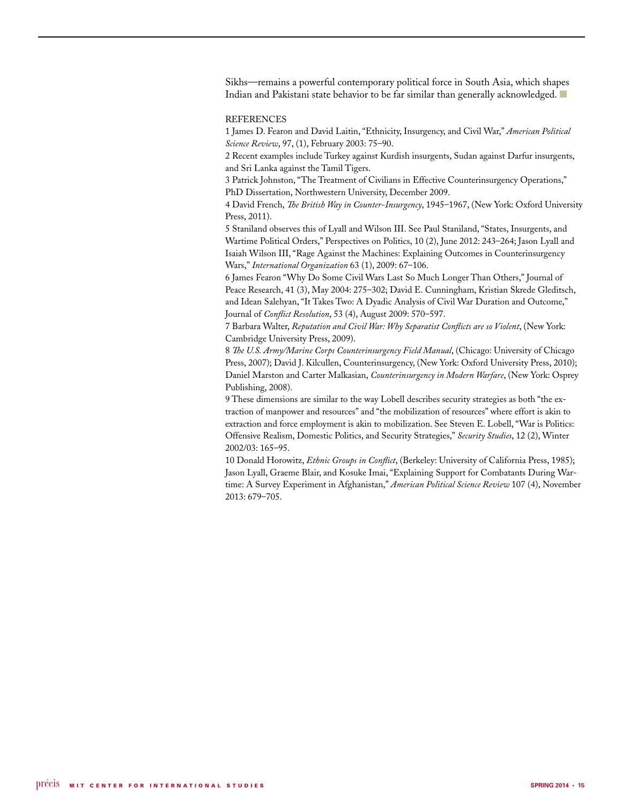Sikhs—remains a powerful contemporary political force in South Asia, which shapes Indian and Pakistani state behavior to be far similar than generally acknowledged.  $\blacksquare$ 

### **REFERENCES**

1 James D. Fearon and David Laitin, "Ethnicity, Insurgency, and Civil War," *American Political Science Review*, 97, (1), February 2003: 75–90.

2 Recent examples include Turkey against Kurdish insurgents, Sudan against Darfur insurgents, and Sri Lanka against the Tamil Tigers.

3 Patrick Johnston, "The Treatment of Civilians in Effective Counterinsurgency Operations," PhD Dissertation, Northwestern University, December 2009.

4 David French, *The British Way in Counter-Insurgency*, 1945–1967, (New York: Oxford University Press, 2011).

5 Staniland observes this of Lyall and Wilson III. See Paul Staniland, "States, Insurgents, and Wartime Political Orders," Perspectives on Politics, 10 (2), June 2012: 243–264; Jason Lyall and Isaiah Wilson III, "Rage Against the Machines: Explaining Outcomes in Counterinsurgency Wars," *International Organization* 63 (1), 2009: 67–106.

6 James Fearon "Why Do Some Civil Wars Last So Much Longer Than Others," Journal of Peace Research, 41 (3), May 2004: 275–302; David E. Cunningham, Kristian Skrede Gleditsch, and Idean Salehyan, "It Takes Two: A Dyadic Analysis of Civil War Duration and Outcome," Journal of *Conflict Resolution*, 53 (4), August 2009: 570–597.

7 Barbara Walter, *Reputation and Civil War: Why Separatist Conflicts are so Violent*, (New York: Cambridge University Press, 2009).

8 *The U.S. Army/Marine Corps Counterinsurgency Field Manual*, (Chicago: University of Chicago Press, 2007); David J. Kilcullen, Counterinsurgency, (New York: Oxford University Press, 2010); Daniel Marston and Carter Malkasian, *Counterinsurgency in Modern Warfare*, (New York: Osprey Publishing, 2008).

9 These dimensions are similar to the way Lobell describes security strategies as both "the extraction of manpower and resources" and "the mobilization of resources" where effort is akin to extraction and force employment is akin to mobilization. See Steven E. Lobell, "War is Politics: Offensive Realism, Domestic Politics, and Security Strategies," *Security Studies*, 12 (2), Winter 2002/03: 165–95.

10 Donald Horowitz, *Ethnic Groups in Conflict*, (Berkeley: University of California Press, 1985); Jason Lyall, Graeme Blair, and Kosuke Imai, "Explaining Support for Combatants During Wartime: A Survey Experiment in Afghanistan," *American Political Science Review* 107 (4), November 2013: 679–705.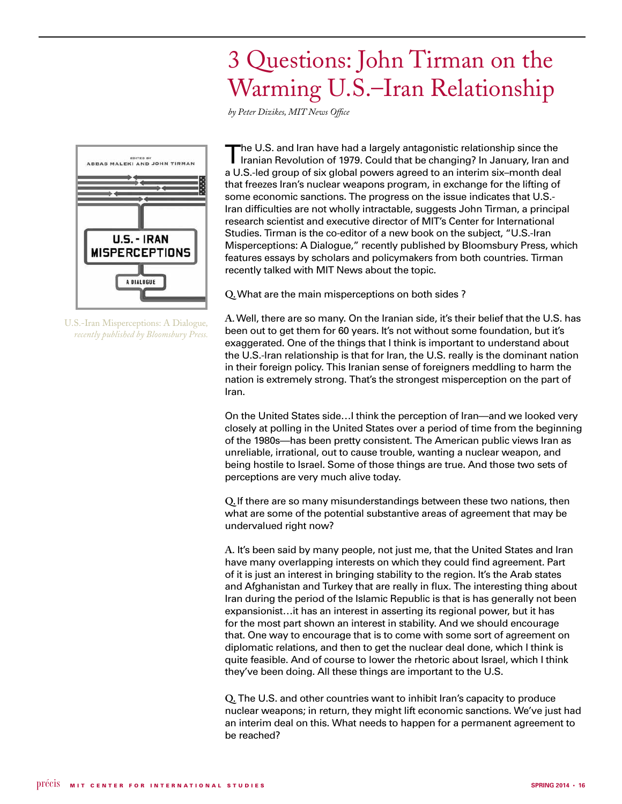## 3 Questions: John Tirman on the Warming U.S.–Iran Relationship

*by Peter Dizikes, MIT News Office*



U.S.-Iran Misperceptions: A Dialogue*, recently published by Bloomsbury Press.*

The U.S. and Iran have had a largely antagonistic relationship since the Iranian Revolution of 1979. Could that be changing? In January, Iran and a U.S.-led group of six global powers agreed to an interim six–month deal that freezes Iran's nuclear weapons program, in exchange for the lifting of some economic sanctions. The progress on the issue indicates that U.S.- Iran difficulties are not wholly intractable, suggests John Tirman, a principal research scientist and executive director of MIT's Center for International Studies. Tirman is the co-editor of a new book on the subject, "U.S.-Iran Misperceptions: A Dialogue," recently published by Bloomsbury Press, which features essays by scholars and policymakers from both countries. Tirman recently talked with MIT News about the topic.

**Q.** What are the main misperceptions on both sides ?

**A.** Well, there are so many. On the Iranian side, it's their belief that the U.S. has been out to get them for 60 years. It's not without some foundation, but it's exaggerated. One of the things that I think is important to understand about the U.S.-Iran relationship is that for Iran, the U.S. really is the dominant nation in their foreign policy. This Iranian sense of foreigners meddling to harm the nation is extremely strong. That's the strongest misperception on the part of Iran.

On the United States side…I think the perception of Iran—and we looked very closely at polling in the United States over a period of time from the beginning of the 1980s—has been pretty consistent. The American public views Iran as unreliable, irrational, out to cause trouble, wanting a nuclear weapon, and being hostile to Israel. Some of those things are true. And those two sets of perceptions are very much alive today.

**Q.** If there are so many misunderstandings between these two nations, then what are some of the potential substantive areas of agreement that may be undervalued right now?

**A**. It's been said by many people, not just me, that the United States and Iran have many overlapping interests on which they could find agreement. Part of it is just an interest in bringing stability to the region. It's the Arab states and Afghanistan and Turkey that are really in flux. The interesting thing about Iran during the period of the Islamic Republic is that is has generally not been expansionist…it has an interest in asserting its regional power, but it has for the most part shown an interest in stability. And we should encourage that. One way to encourage that is to come with some sort of agreement on diplomatic relations, and then to get the nuclear deal done, which I think is quite feasible. And of course to lower the rhetoric about Israel, which I think they've been doing. All these things are important to the U.S.

**Q.** The U.S. and other countries want to inhibit Iran's capacity to produce nuclear weapons; in return, they might lift economic sanctions. We've just had an interim deal on this. What needs to happen for a permanent agreement to be reached?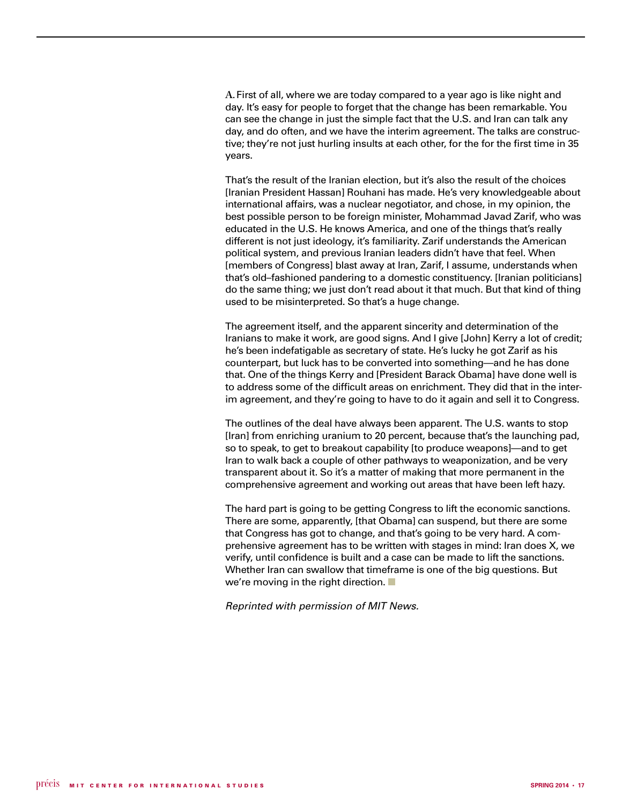**A.** First of all, where we are today compared to a year ago is like night and day. It's easy for people to forget that the change has been remarkable. You can see the change in just the simple fact that the U.S. and Iran can talk any day, and do often, and we have the interim agreement. The talks are constructive; they're not just hurling insults at each other, for the for the first time in 35 years.

That's the result of the Iranian election, but it's also the result of the choices [Iranian President Hassan] Rouhani has made. He's very knowledgeable about international affairs, was a nuclear negotiator, and chose, in my opinion, the best possible person to be foreign minister, Mohammad Javad Zarif, who was educated in the U.S. He knows America, and one of the things that's really different is not just ideology, it's familiarity. Zarif understands the American political system, and previous Iranian leaders didn't have that feel. When [members of Congress] blast away at Iran, Zarif, I assume, understands when that's old–fashioned pandering to a domestic constituency. [Iranian politicians] do the same thing; we just don't read about it that much. But that kind of thing used to be misinterpreted. So that's a huge change.

The agreement itself, and the apparent sincerity and determination of the Iranians to make it work, are good signs. And I give [John] Kerry a lot of credit; he's been indefatigable as secretary of state. He's lucky he got Zarif as his counterpart, but luck has to be converted into something—and he has done that. One of the things Kerry and [President Barack Obama] have done well is to address some of the difficult areas on enrichment. They did that in the interim agreement, and they're going to have to do it again and sell it to Congress.

The outlines of the deal have always been apparent. The U.S. wants to stop [Iran] from enriching uranium to 20 percent, because that's the launching pad, so to speak, to get to breakout capability [to produce weapons]—and to get Iran to walk back a couple of other pathways to weaponization, and be very transparent about it. So it's a matter of making that more permanent in the comprehensive agreement and working out areas that have been left hazy.

The hard part is going to be getting Congress to lift the economic sanctions. There are some, apparently, [that Obama] can suspend, but there are some that Congress has got to change, and that's going to be very hard. A comprehensive agreement has to be written with stages in mind: Iran does X, we verify, until confidence is built and a case can be made to lift the sanctions. Whether Iran can swallow that timeframe is one of the big questions. But we're moving in the right direction.  $\blacksquare$ 

*Reprinted with permission of MIT News.*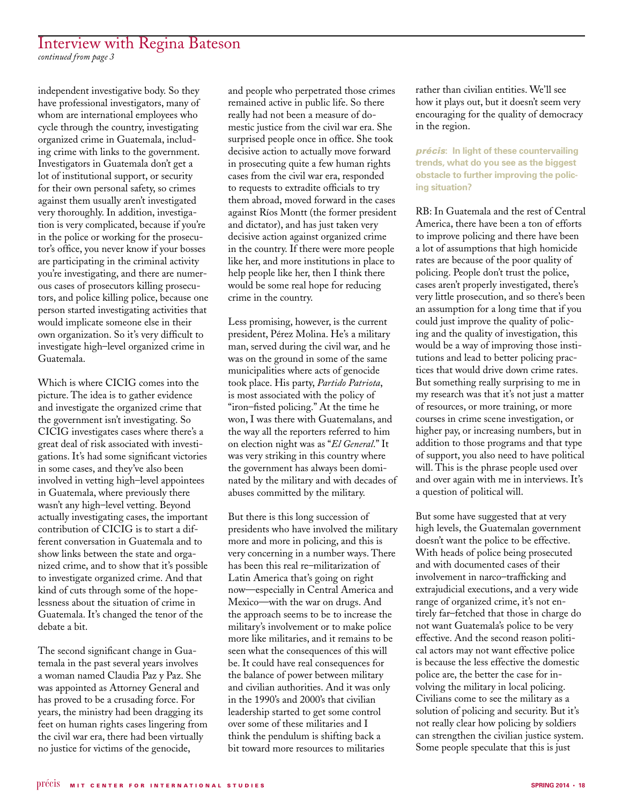### Interview with Regina Bateson

*continued from page 3*

independent investigative body. So they have professional investigators, many of whom are international employees who cycle through the country, investigating organized crime in Guatemala, including crime with links to the government. Investigators in Guatemala don't get a lot of institutional support, or security for their own personal safety, so crimes against them usually aren't investigated very thoroughly. In addition, investigation is very complicated, because if you're in the police or working for the prosecutor's office, you never know if your bosses are participating in the criminal activity you're investigating, and there are numerous cases of prosecutors killing prosecutors, and police killing police, because one person started investigating activities that would implicate someone else in their own organization. So it's very difficult to investigate high–level organized crime in Guatemala.

Which is where CICIG comes into the picture. The idea is to gather evidence and investigate the organized crime that the government isn't investigating. So CICIG investigates cases where there's a great deal of risk associated with investigations. It's had some significant victories in some cases, and they've also been involved in vetting high–level appointees in Guatemala, where previously there wasn't any high–level vetting. Beyond actually investigating cases, the important contribution of CICIG is to start a different conversation in Guatemala and to show links between the state and organized crime, and to show that it's possible to investigate organized crime. And that kind of cuts through some of the hopelessness about the situation of crime in Guatemala. It's changed the tenor of the debate a bit.

The second significant change in Guatemala in the past several years involves a woman named Claudia Paz y Paz. She was appointed as Attorney General and has proved to be a crusading force. For years, the ministry had been dragging its feet on human rights cases lingering from the civil war era, there had been virtually no justice for victims of the genocide,

and people who perpetrated those crimes remained active in public life. So there really had not been a measure of domestic justice from the civil war era. She surprised people once in office. She took decisive action to actually move forward in prosecuting quite a few human rights cases from the civil war era, responded to requests to extradite officials to try them abroad, moved forward in the cases against Ríos Montt (the former president and dictator), and has just taken very decisive action against organized crime in the country. If there were more people like her, and more institutions in place to help people like her, then I think there would be some real hope for reducing crime in the country.

Less promising, however, is the current president, Pérez Molina. He's a military man, served during the civil war, and he was on the ground in some of the same municipalities where acts of genocide took place. His party, *Partido Patriota*, is most associated with the policy of "iron–fisted policing." At the time he won, I was there with Guatemalans, and the way all the reporters referred to him on election night was as "*El General*." It was very striking in this country where the government has always been dominated by the military and with decades of abuses committed by the military.

But there is this long succession of presidents who have involved the military more and more in policing, and this is very concerning in a number ways. There has been this real re–militarization of Latin America that's going on right now—especially in Central America and Mexico—with the war on drugs. And the approach seems to be to increase the military's involvement or to make police more like militaries, and it remains to be seen what the consequences of this will be. It could have real consequences for the balance of power between military and civilian authorities. And it was only in the 1990's and 2000's that civilian leadership started to get some control over some of these militaries and I think the pendulum is shifting back a bit toward more resources to militaries

rather than civilian entities. We'll see how it plays out, but it doesn't seem very encouraging for the quality of democracy in the region.

### *précis***: In light of these countervailing trends, what do you see as the biggest obstacle to further improving the policing situation?**

RB: In Guatemala and the rest of Central America, there have been a ton of efforts to improve policing and there have been a lot of assumptions that high homicide rates are because of the poor quality of policing. People don't trust the police, cases aren't properly investigated, there's very little prosecution, and so there's been an assumption for a long time that if you could just improve the quality of policing and the quality of investigation, this would be a way of improving those institutions and lead to better policing practices that would drive down crime rates. But something really surprising to me in my research was that it's not just a matter of resources, or more training, or more courses in crime scene investigation, or higher pay, or increasing numbers, but in addition to those programs and that type of support, you also need to have political will. This is the phrase people used over and over again with me in interviews. It's a question of political will.

But some have suggested that at very high levels, the Guatemalan government doesn't want the police to be effective. With heads of police being prosecuted and with documented cases of their involvement in narco–trafficking and extrajudicial executions, and a very wide range of organized crime, it's not entirely far–fetched that those in charge do not want Guatemala's police to be very effective. And the second reason political actors may not want effective police is because the less effective the domestic police are, the better the case for involving the military in local policing. Civilians come to see the military as a solution of policing and security. But it's not really clear how policing by soldiers can strengthen the civilian justice system. Some people speculate that this is just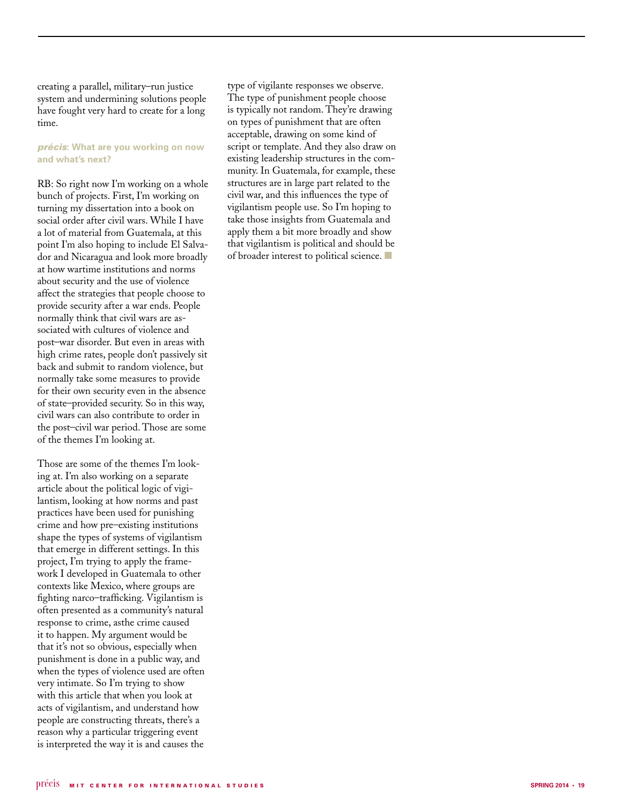creating a parallel, military–run justice system and undermining solutions people have fought very hard to create for a long time.

### *précis***: What are you working on now and what's next?**

RB: So right now I'm working on a whole bunch of projects. First, I'm working on turning my dissertation into a book on social order after civil wars. While I have a lot of material from Guatemala, at this point I'm also hoping to include El Salva dor and Nicaragua and look more broadly at how wartime institutions and norms about security and the use of violence affect the strategies that people choose to provide security after a war ends. People normally think that civil wars are as sociated with cultures of violence and post–war disorder. But even in areas with high crime rates, people don't passively sit back and submit to random violence, but normally take some measures to provide for their own security even in the absence of state–provided security. So in this way, civil wars can also contribute to order in the post–civil war period. Those are some of the themes I'm looking at.

Those are some of the themes I'm look ing at. I'm also working on a separate article about the political logic of vigi lantism, looking at how norms and past practices have been used for punishing crime and how pre–existing institutions shape the types of systems of vigilantism that emerge in different settings. In this project, I'm trying to apply the frame work I developed in Guatemala to other contexts like Mexico, where groups are fighting narco–trafficking. Vigilantism is often presented as a community's natural response to crime, asthe crime caused it to happen. My argument would be that it's not so obvious, especially when punishment is done in a public way, and when the types of violence used are often very intimate. So I'm trying to show with this article that when you look at acts of vigilantism, and understand how people are constructing threats, there's a reason why a particular triggering event is interpreted the way it is and causes the

type of vigilante responses we observe. The type of punishment people choose is typically not random. They're drawing on types of punishment that are often acceptable, drawing on some kind of script or template. And they also draw on existing leadership structures in the com munity. In Guatemala, for example, these structures are in large part related to the civil war, and this influences the type of vigilantism people use. So I'm hoping to take those insights from Guatemala and apply them a bit more broadly and show that vigilantism is political and should be of broader interest to political science.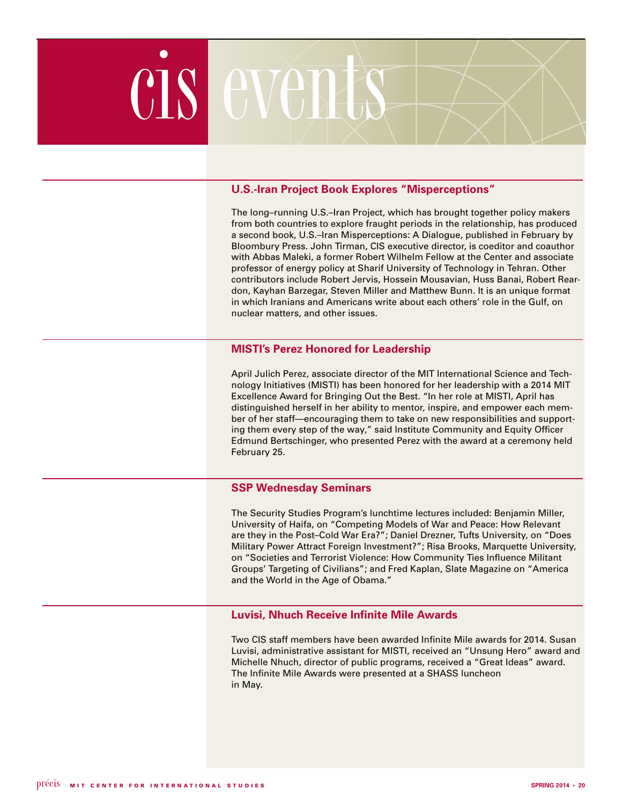

### **U.S.-Iran Project Book Explores "Misperceptions"**

The long–running U.S.–Iran Project, which has brought together policy makers from both countries to explore fraught periods in the relationship, has produced a second book, U.S.–Iran Misperceptions: A Dialogue, published in February by Bloombury Press. John Tirman, CIS executive director, is coeditor and coauthor with Abbas Maleki, a former Robert Wilhelm Fellow at the Center and associate professor of energy policy at Sharif University of Technology in Tehran. Other contributors include Robert Jervis, Hossein Mousavian, Huss Banai, Robert Reardon, Kayhan Barzegar, Steven Miller and Matthew Bunn. It is an unique format in which Iranians and Americans write about each others' role in the Gulf, on nuclear matters, and other issues.

### **MISTI's Perez Honored for Leadership**

April Julich Perez, associate director of the MIT International Science and Technology Initiatives (MISTI) has been honored for her leadership with a 2014 MIT Excellence Award for Bringing Out the Best. "In her role at MISTI, April has distinguished herself in her ability to mentor, inspire, and empower each member of her staff—encouraging them to take on new responsibilities and supporting them every step of the way," said Institute Community and Equity Officer Edmund Bertschinger, who presented Perez with the award at a ceremony held February 25.

### **SSP Wednesday Seminars**

The Security Studies Program's lunchtime lectures included: Benjamin Miller, University of Haifa, on "Competing Models of War and Peace: How Relevant are they in the Post–Cold War Era?"; Daniel Drezner, Tufts University, on "Does Military Power Attract Foreign Investment?"; Risa Brooks, Marquette University, on "Societies and Terrorist Violence: How Community Ties Influence Militant Groups' Targeting of Civilians"; and Fred Kaplan, Slate Magazine on "America and the World in the Age of Obama."

### **Luvisi, Nhuch Receive Infinite Mile Awards**

Two CIS staff members have been awarded Infinite Mile awards for 2014. Susan Luvisi, administrative assistant for MISTI, received an "Unsung Hero" award and Michelle Nhuch, director of public programs, received a "Great Ideas" award. The Infinite Mile Awards were presented at a SHASS luncheon in May.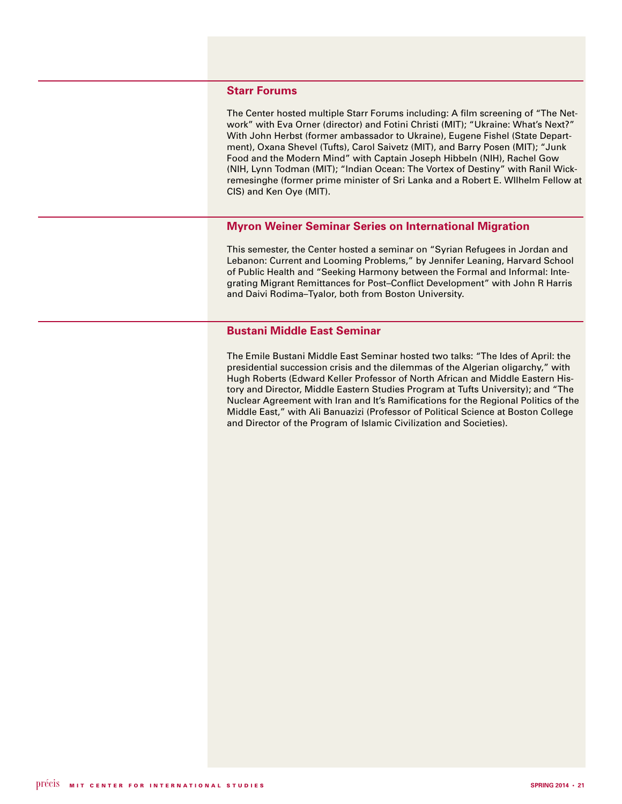### **Starr Forums**

The Center hosted multiple Starr Forums including: A film screening of "The Network" with Eva Orner (director) and Fotini Christi (MIT); "Ukraine: What's Next?" With John Herbst (former ambassador to Ukraine), Eugene Fishel (State Department), Oxana Shevel (Tufts), Carol Saivetz (MIT), and Barry Posen (MIT); "Junk Food and the Modern Mind" with Captain Joseph Hibbeln (NIH), Rachel Gow (NIH, Lynn Todman (MIT); "Indian Ocean: The Vortex of Destiny" with Ranil Wickremesinghe (former prime minister of Sri Lanka and a Robert E. WIlhelm Fellow at CIS) and Ken Oye (MIT).

### **Myron Weiner Seminar Series on International Migration**

This semester, the Center hosted a seminar on "Syrian Refugees in Jordan and Lebanon: Current and Looming Problems," by Jennifer Leaning, Harvard School of Public Health and "Seeking Harmony between the Formal and Informal: Integrating Migrant Remittances for Post–Conflict Development" with John R Harris and Daivi Rodima–Tyalor, both from Boston University.

### **Bustani Middle East Seminar**

The Emile Bustani Middle East Seminar hosted two talks: "The Ides of April: the presidential succession crisis and the dilemmas of the Algerian oligarchy," with Hugh Roberts (Edward Keller Professor of North African and Middle Eastern History and Director, Middle Eastern Studies Program at Tufts University); and "The Nuclear Agreement with Iran and It's Ramifications for the Regional Politics of the Middle East," with Ali Banuazizi (Professor of Political Science at Boston College and Director of the Program of Islamic Civilization and Societies).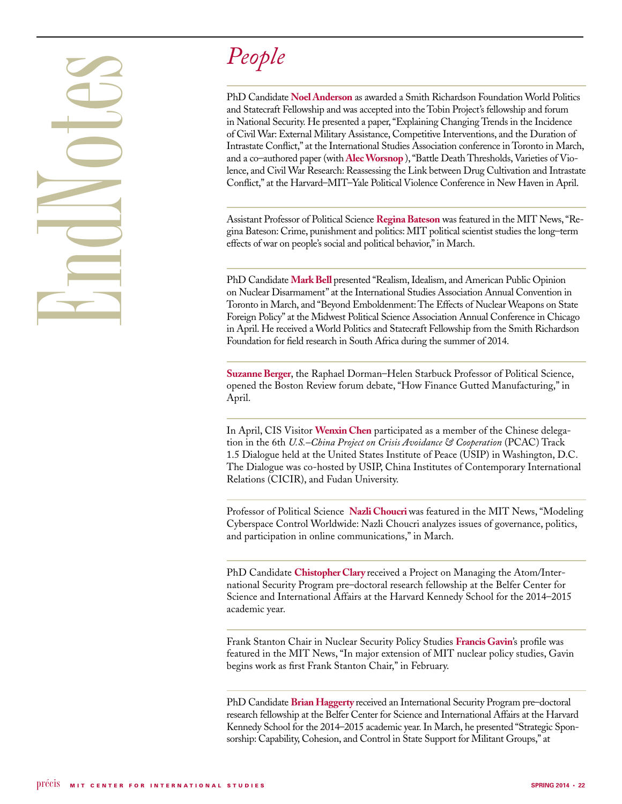# End Otes

## *People*

PhD Candidate **Noel Anderson** as awarded a Smith Richardson Foundation World Politics and Statecraft Fellowship and was accepted into the Tobin Project's fellowship and forum in National Security. He presented a paper, "Explaining Changing Trends in the Incidence of Civil War: External Military Assistance, Competitive Interventions, and the Duration of Intrastate Conflict," at the International Studies Association conference in Toronto in March, and a co–authored paper (with **Alec Worsnop** ), "Battle Death Thresholds, Varieties of Violence, and Civil War Research: Reassessing the Link between Drug Cultivation and Intrastate Conflict," at the Harvard–MIT–Yale Political Violence Conference in New Haven in April.

Assistant Professor of Political Science **Regina Bateson** was featured in the MIT News, "Regina Bateson: Crime, punishment and politics: MIT political scientist studies the long–term effects of war on people's social and political behavior," in March.

PhD Candidate **Mark Bell** presented "Realism, Idealism, and American Public Opinion on Nuclear Disarmament" at the International Studies Association Annual Convention in Toronto in March, and "Beyond Emboldenment: The Effects of Nuclear Weapons on State Foreign Policy" at the Midwest Political Science Association Annual Conference in Chicago in April. He received a World Politics and Statecraft Fellowship from the Smith Richardson Foundation for field research in South Africa during the summer of 2014.

**Suzanne Berger**, the Raphael Dorman–Helen Starbuck Professor of Political Science, opened the Boston Review forum debate, "How Finance Gutted Manufacturing," in April.

In April, CIS Visitor **Wenxin Chen** participated as a member of the Chinese delegation in the 6th *U.S.–China Project on Crisis Avoidance & Cooperation* (PCAC) Track 1.5 Dialogue held at the United States Institute of Peace (USIP) in Washington, D.C. The Dialogue was co-hosted by USIP, China Institutes of Contemporary International Relations (CICIR), and Fudan University.

Professor of Political Science **Nazli Choucri** was featured in the MIT News, "Modeling Cyberspace Control Worldwide: Nazli Choucri analyzes issues of governance, politics, and participation in online communications," in March.

PhD Candidate **Chistopher Clary** received a Project on Managing the Atom/International Security Program pre–doctoral research fellowship at the Belfer Center for Science and International Affairs at the Harvard Kennedy School for the 2014–2015 academic year.

Frank Stanton Chair in Nuclear Security Policy Studies **Francis Gavin**'s profile was featured in the MIT News, "In major extension of MIT nuclear policy studies, Gavin begins work as first Frank Stanton Chair," in February.

PhD Candidate **Brian Haggerty** received an International Security Program pre–doctoral research fellowship at the Belfer Center for Science and International Affairs at the Harvard Kennedy School for the 2014–2015 academic year. In March, he presented "Strategic Sponsorship: Capability, Cohesion, and Control in State Support for Militant Groups," at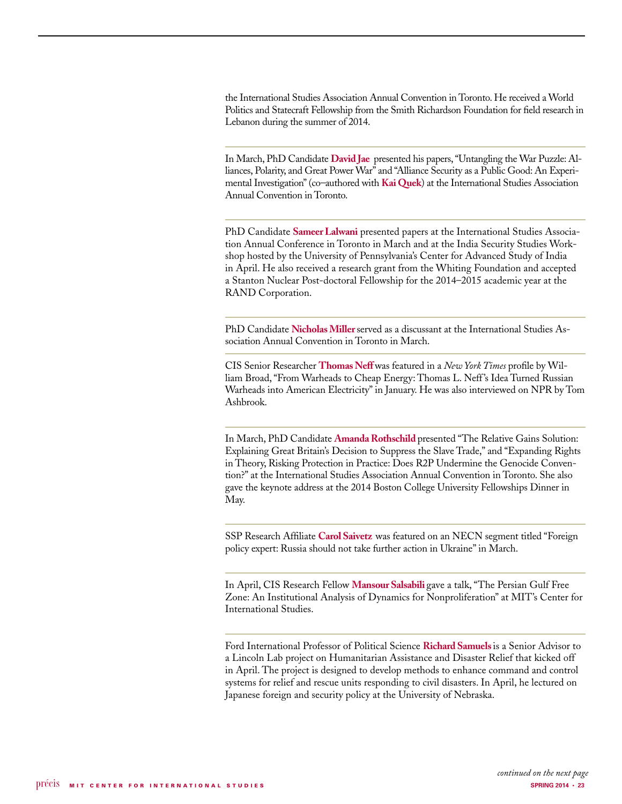the International Studies Association Annual Convention in Toronto. He received a World Politics and Statecraft Fellowship from the Smith Richardson Foundation for field research in Lebanon during the summer of 2014.

In March, PhD Candidate **David Jae** presented his papers, "Untangling the War Puzzle: Alliances, Polarity, and Great Power War" and "Alliance Security as a Public Good: An Experimental Investigation" (co–authored with **Kai Quek**) at the International Studies Association Annual Convention in Toronto.

PhD Candidate **Sameer Lalwani** presented papers at the International Studies Association Annual Conference in Toronto in March and at the India Security Studies Workshop hosted by the University of Pennsylvania's Center for Advanced Study of India in April. He also received a research grant from the Whiting Foundation and accepted a Stanton Nuclear Post-doctoral Fellowship for the 2014–2015 academic year at the RAND Corporation.

PhD Candidate **Nicholas Miller** served as a discussant at the International Studies Association Annual Convention in Toronto in March.

CIS Senior Researcher **Thomas Neff** was featured in a *New York Times* profile by William Broad, "From Warheads to Cheap Energy: Thomas L. Neff 's Idea Turned Russian Warheads into American Electricity" in January. He was also interviewed on NPR by Tom Ashbrook.

In March, PhD Candidate **Amanda Rothschild** presented "The Relative Gains Solution: Explaining Great Britain's Decision to Suppress the Slave Trade," and "Expanding Rights in Theory, Risking Protection in Practice: Does R2P Undermine the Genocide Convention?" at the International Studies Association Annual Convention in Toronto. She also gave the keynote address at the 2014 Boston College University Fellowships Dinner in May.

SSP Research Affiliate **Carol Saivetz** was featured on an NECN segment titled "Foreign policy expert: Russia should not take further action in Ukraine" in March.

In April, CIS Research Fellow **Mansour Salsabili** gave a talk, "The Persian Gulf Free Zone: An Institutional Analysis of Dynamics for Nonproliferation" at MIT's Center for International Studies.

Ford International Professor of Political Science **Richard Samuels** is a Senior Advisor to a Lincoln Lab project on Humanitarian Assistance and Disaster Relief that kicked off in April. The project is designed to develop methods to enhance command and control systems for relief and rescue units responding to civil disasters. In April, he lectured on Japanese foreign and security policy at the University of Nebraska.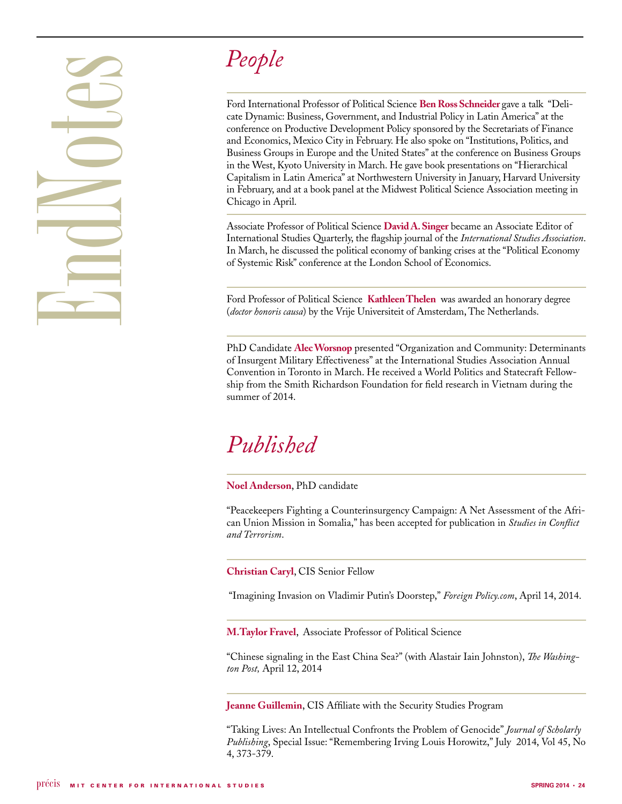# **People**<br>
Ford Internatio<br>
acte Dynamic:<br>
and Economies<br>
Business Group<br>
in the West, Ky<br>
Capitalism in L<br>
in February, and<br>
Chicago in Apr<br>
Associate Profe<br>
International St<br>
In March, he di<br>
of Systemic Ris<br>
Ford Profess



Ford International Professor of Political Science **Ben Ross Schneider** gave a talk "Delicate Dynamic: Business, Government, and Industrial Policy in Latin America" at the conference on Productive Development Policy sponsored by the Secretariats of Finance and Economics, Mexico City in February. He also spoke on "Institutions, Politics, and Business Groups in Europe and the United States" at the conference on Business Groups in the West, Kyoto University in March. He gave book presentations on "Hierarchical Capitalism in Latin America" at Northwestern University in January, Harvard University in February, and at a book panel at the Midwest Political Science Association meeting in Chicago in April.

Associate Professor of Political Science **David A. Singer** became an Associate Editor of International Studies Quarterly, the flagship journal of the *International Studies Association*. In March, he discussed the political economy of banking crises at the "Political Economy of Systemic Risk" conference at the London School of Economics.

Ford Professor of Political Science **Kathleen Thelen** was awarded an honorary degree (*doctor honoris causa*) by the Vrije Universiteit of Amsterdam, The Netherlands.

PhD Candidate **Alec Worsnop** presented "Organization and Community: Determinants of Insurgent Military Effectiveness" at the International Studies Association Annual Convention in Toronto in March. He received a World Politics and Statecraft Fellowship from the Smith Richardson Foundation for field research in Vietnam during the summer of 2014.

## *Published*

### **Noel Anderson**, PhD candidate

"Peacekeepers Fighting a Counterinsurgency Campaign: A Net Assessment of the African Union Mission in Somalia," has been accepted for publication in *Studies in Conflict and Terrorism*.

### **Christian Caryl**, CIS Senior Fellow

"Imagining Invasion on Vladimir Putin's Doorstep," *Foreign Policy.com*, April 14, 2014.

**M.Taylor Fravel**,Associate Professor of Political Science

"Chinese signaling in the East China Sea?" (with Alastair Iain Johnston), *The Washington Post,* April 12, 2014

**Jeanne Guillemin**, CIS Affiliate with the Security Studies Program

"Taking Lives: An Intellectual Confronts the Problem of Genocide" *Journal of Scholarly Publishing*, Special Issue: "Remembering Irving Louis Horowitz," July 2014, Vol 45, No 4, 373-379.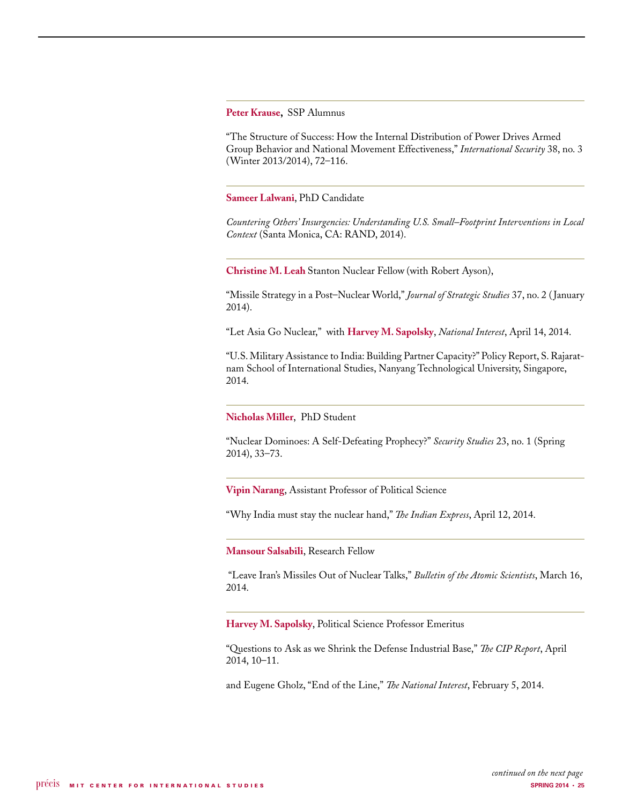**Peter Krause,** SSP Alumnus

"The Structure of Success: How the Internal Distribution of Power Drives Armed Group Behavior and National Movement Effectiveness," *International Security* 38, no. 3 (Winter 2013/2014), 72–116.

**Sameer Lalwani**, PhD Candidate

*Countering Others' Insurgencies: Understanding U.S. Small–Footprint Interventions in Local Context* (Santa Monica, CA: RAND, 2014).

**Christine M. Leah** Stanton Nuclear Fellow (with Robert Ayson),

"Missile Strategy in a Post–Nuclear World," *Journal of Strategic Studies* 37, no. 2 ( January 2014).

"Let Asia Go Nuclear," with **Harvey M. Sapolsky**, *National Interest*, April 14, 2014.

"U.S. Military Assistance to India: Building Partner Capacity?" Policy Report, S. Rajaratnam School of International Studies, Nanyang Technological University, Singapore, 2014.

### **Nicholas Miller**, PhD Student

"Nuclear Dominoes: A Self-Defeating Prophecy?" *Security Studies* 23, no. 1 (Spring 2014), 33–73.

**Vipin Narang**, Assistant Professor of Political Science

"Why India must stay the nuclear hand," *The Indian Express*, April 12, 2014.

**Mansour Salsabili**, Research Fellow

 "Leave Iran's Missiles Out of Nuclear Talks," *Bulletin of the Atomic Scientists*, March 16, 2014.

**Harvey M. Sapolsky**, Political Science Professor Emeritus

"Questions to Ask as we Shrink the Defense Industrial Base," *The CIP Report*, April 2014, 10–11.

and Eugene Gholz, "End of the Line," *The National Interest*, February 5, 2014.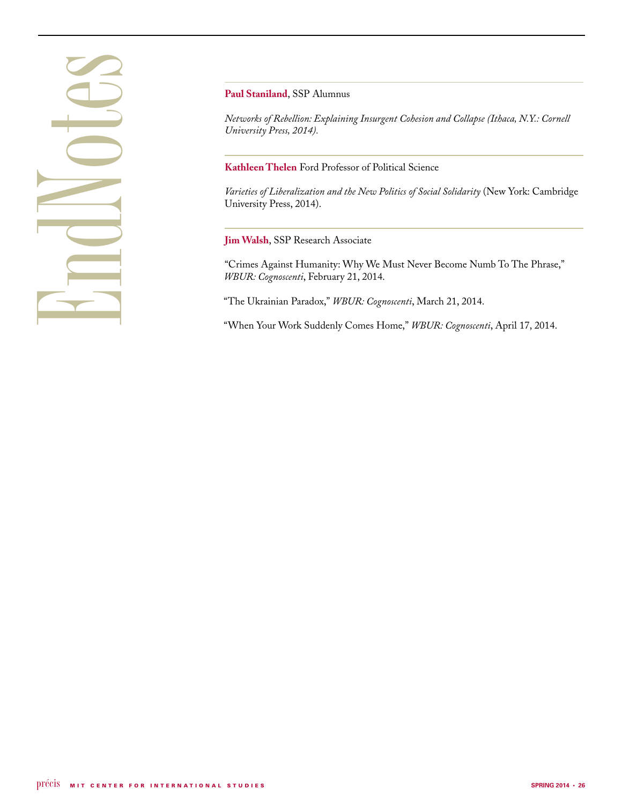## EndNotes

**Paul Staniland**, SSP Alumnus

*Networks of Rebellion: Explaining Insurgent Cohesion and Collapse (Ithaca, N.Y.: Cornell University Press, 2014).*

**Kathleen Thelen** Ford Professor of Political Science

*Varieties of Liberalization and the New Politics of Social Solidarity* (New York: Cambridge University Press, 2014).

**Jim Walsh**, SSP Research Associate

"Crimes Against Humanity: Why We Must Never Become Numb To The Phrase," *WBUR: Cognoscenti*, February 21, 2014.

"The Ukrainian Paradox," *WBUR: Cognoscenti*, March 21, 2014.

"When Your Work Suddenly Comes Home," *WBUR: Cognoscenti*, April 17, 2014.